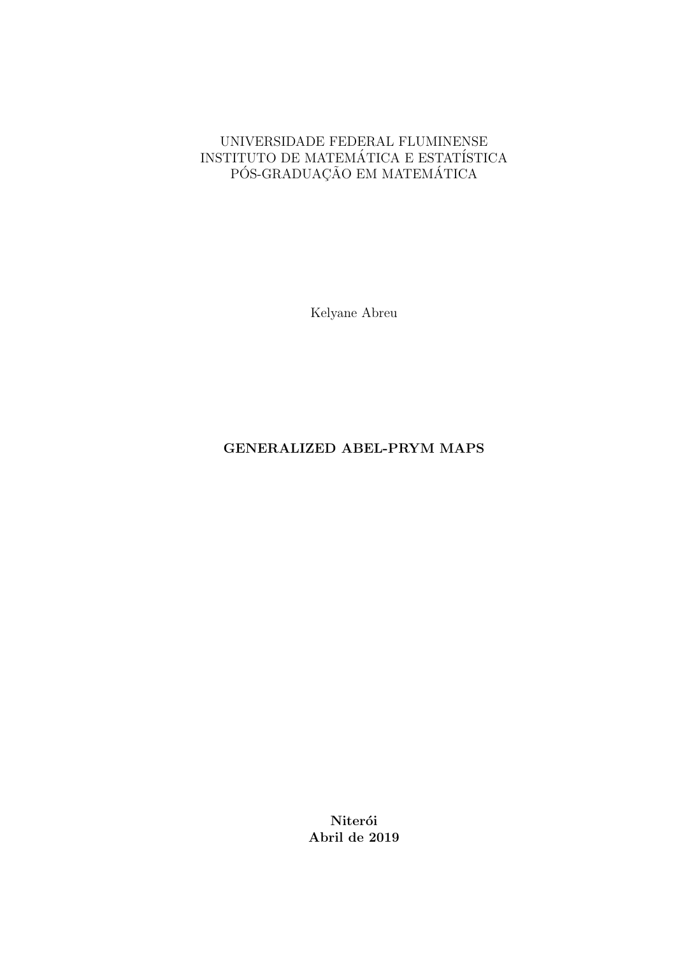#### UNIVERSIDADE FEDERAL FLUMINENSE INSTITUTO DE MATEMÁTICA E ESTATÍSTICA PÓS-GRADUAÇÃO EM MATEMÁTICA

Kelyane Abreu

#### GENERALIZED ABEL-PRYM MAPS

Niterói Abril de 2019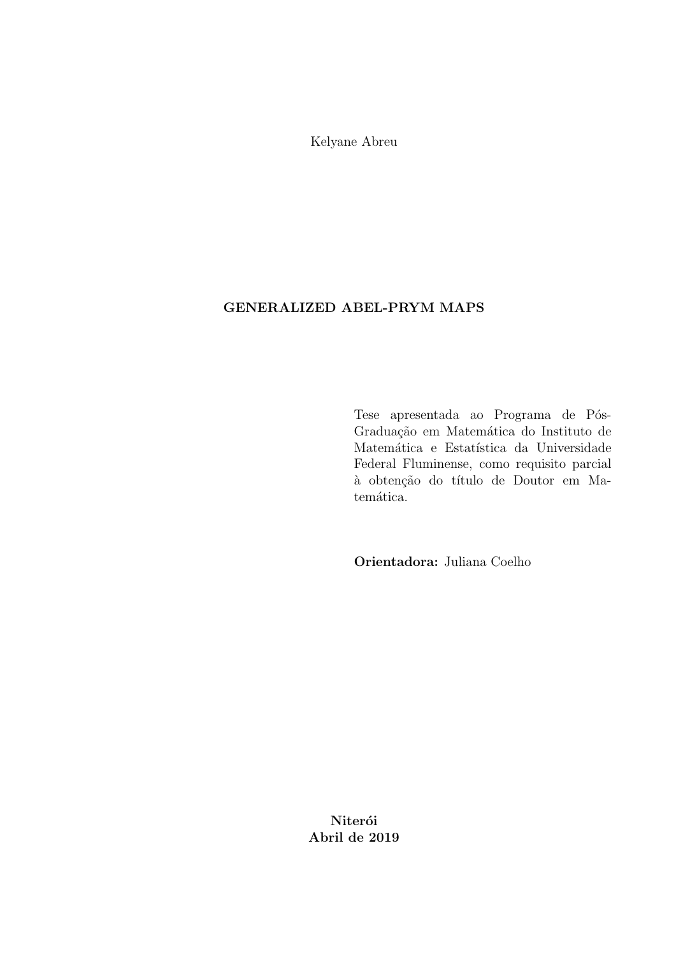Kelyane Abreu

#### GENERALIZED ABEL-PRYM MAPS

Tese apresentada ao Programa de Pós-Graduação em Matemática do Instituto de Matemática e Estatística da Universidade Federal Fluminense, como requisito parcial à obtenção do título de Doutor em Matemática.

Orientadora: Juliana Coelho

Niterói Abril de 2019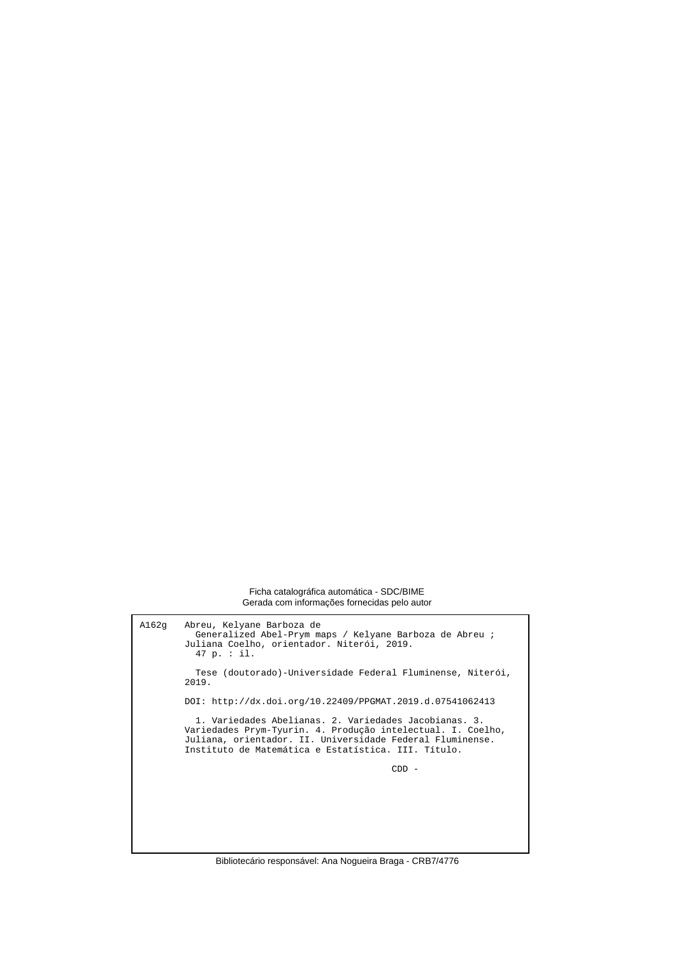Ficha catalográfica automática - SDC/BIME Gerada com informações fornecidas pelo autor

A162g Abreu, Kelyane Barboza de Generalized Abel-Prym maps / Kelyane Barboza de Abreu ; Juliana Coelho, orientador. Niterói, 2019. 47 p. : il. Tese (doutorado)-Universidade Federal Fluminense, Niterói, 2019. DOI: http://dx.doi.org/10.22409/PPGMAT.2019.d.07541062413 1. Variedades Abelianas. 2. Variedades Jacobianas. 3. Variedades Prym-Tyurin. 4. Produção intelectual. I. Coelho, Juliana, orientador. II. Universidade Federal Fluminense. Instituto de Matemática e Estatística. III. Título. CDD -

Bibliotecário responsável: Ana Nogueira Braga - CRB7/4776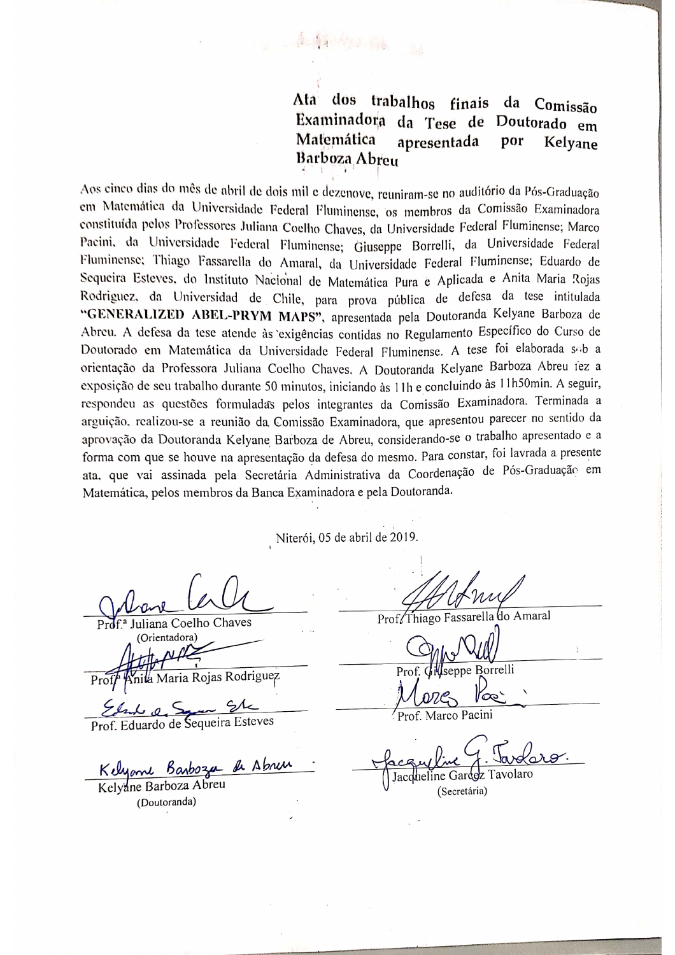Ata dos trabalhos da Comissão finais Examinadora da Tese de Doutorado em Matemática por apresentada Kelvane Barboza Abreu

Aos cinco dias do mês de abril de dois mil e dezenove, reuniram-se no auditório da Pós-Graduação em Matemática da Universidade Federal Fluminense, os membros da Comissão Examinadora constituída pelos Professores Juliana Coelho Chaves, da Universidade Federal Fluminense; Marco Pacini, da Universidade Federal Fluminense; Giuseppe Borrelli, da Universidade Federal Fluminense; Thiago Fassarella do Amaral, da Universidade Federal Fluminense; Eduardo de Sequeira Esteves, do Instituto Nacional de Matemática Pura e Aplicada e Anita María Rojas Rodriguez, da Universidad de Chile, para prova pública de defesa da tese intitulada "GENERALIZED ABEL-PRYM MAPS", apresentada pela Doutoranda Kelyane Barboza de Abreu. A defesa da tese atende às exigências contidas no Regulamento Específico do Curso de Doutorado em Matemática da Universidade Federal Fluminense. A tese foi elaborada sob a orientação da Professora Juliana Coelho Chaves. A Doutoranda Kelyane Barboza Abreu iez a exposição de seu trabalho durante 50 minutos, iniciando às 11h e concluindo às 11h50min. A seguir, respondeu as questões formuladas pelos integrantes da Comissão Examinadora. Terminada a arguição, realizou-se a reunião da Comissão Examinadora, que apresentou parecer no sentido da aprovação da Doutoranda Kelyane Barboza de Abreu, considerando-se o trabalho apresentado e a forma com que se houve na apresentação da defesa do mesmo. Para constar, foi lavrada a presente ata, que vai assinada pela Secretária Administrativa da Coordenação de Pós-Graduação em Matemática, pelos membros da Banca Examinadora e pela Doutoranda.

新鲜的小说 。

Niterói, 05 de abril de 2019.

Juliana Coelho Chaves (Orientadora)

Maria Rojas Rodriguez

 $\sigma$   $\leq$ 

Prof. Eduardo de Sequeira Esteves

Kelyane Barboza de Abren

Kelyane Barboza Abreu (Doutoranda)

Prof/Thiago Fassarella do Amaral

**Borrelli** 

Marco Pacini

Jacc

(Secretária)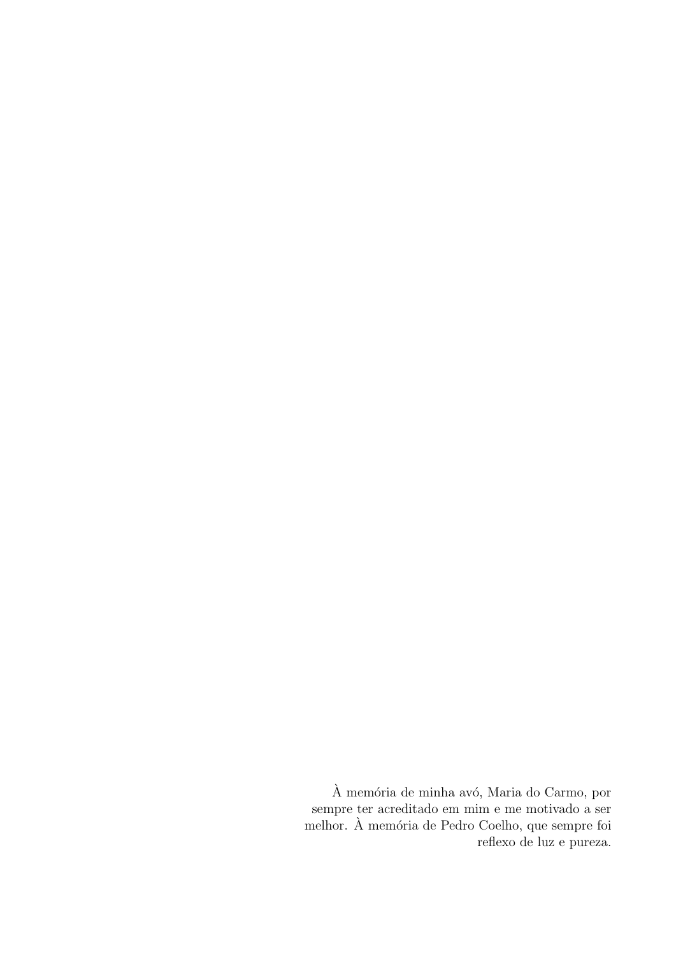$\grave{\text{A}}$ memória de minha avó, Maria do Carmo, por sempre ter acreditado em mim e me motivado a ser melhor. À memória de Pedro Coelho, que sempre foi reflexo de luz e pureza.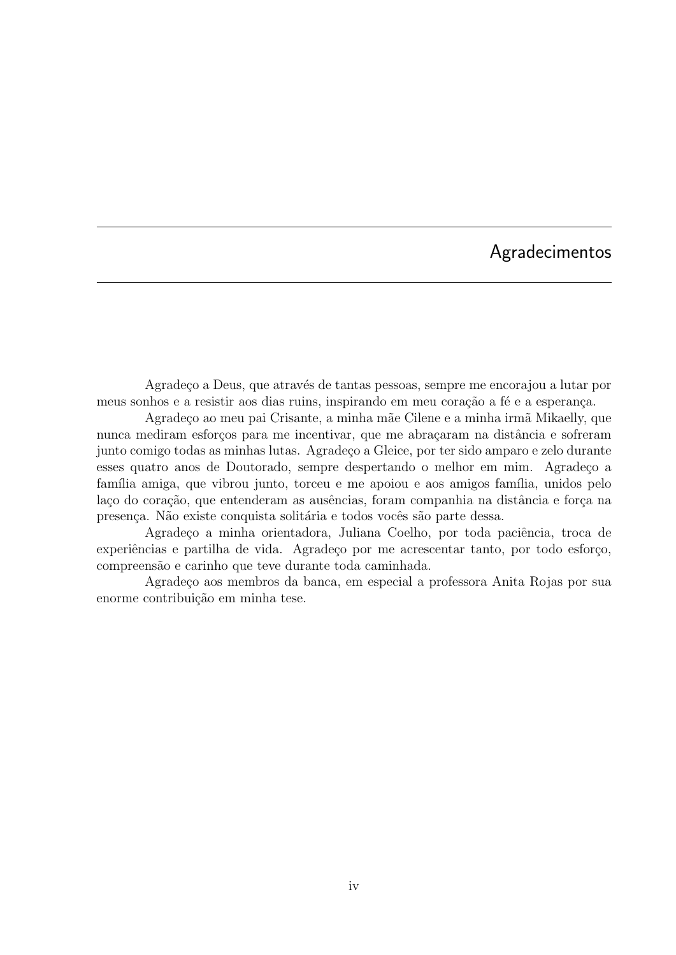## Agradecimentos

Agradeço a Deus, que através de tantas pessoas, sempre me encorajou a lutar por meus sonhos e a resistir aos dias ruins, inspirando em meu coração a fé e a esperança.

Agradeço ao meu pai Crisante, a minha mãe Cilene e a minha irmã Mikaelly, que nunca mediram esforços para me incentivar, que me abraçaram na distância e sofreram junto comigo todas as minhas lutas. Agrade¸co a Gleice, por ter sido amparo e zelo durante esses quatro anos de Doutorado, sempre despertando o melhor em mim. Agradeço a família amiga, que vibrou junto, torceu e me apoiou e aos amigos família, unidos pelo laço do coração, que entenderam as ausências, foram companhia na distância e força na presença. Não existe conquista solitária e todos vocês são parte dessa.

Agradeço a minha orientadora, Juliana Coelho, por toda paciência, troca de experiências e partilha de vida. Agradeço por me acrescentar tanto, por todo esforço, compreens˜ao e carinho que teve durante toda caminhada.

Agrade¸co aos membros da banca, em especial a professora Anita Rojas por sua enorme contribuição em minha tese.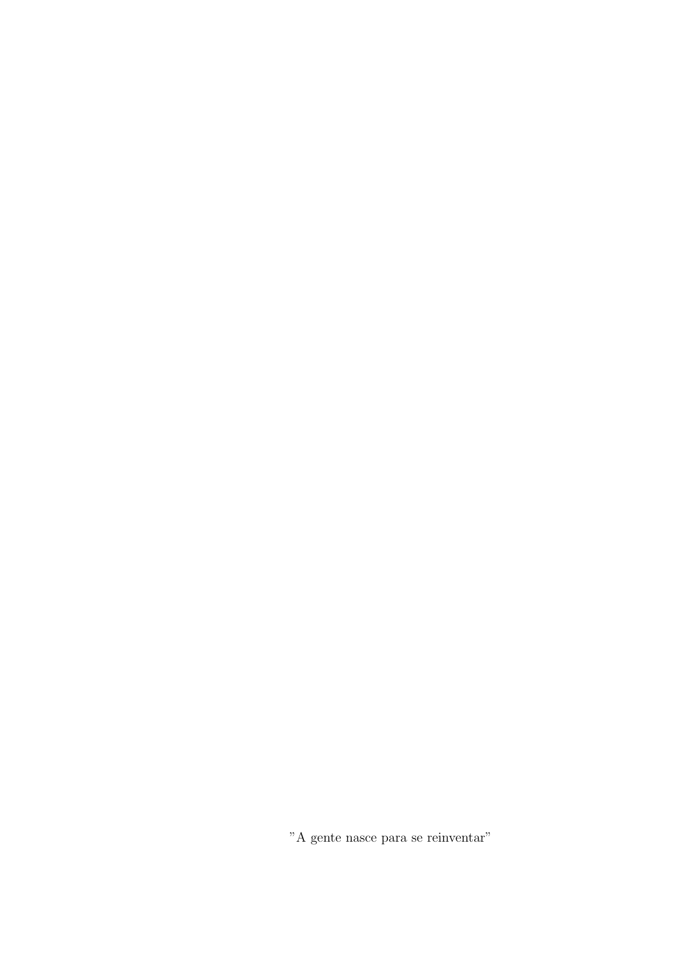"A gente nasce para se reinventar"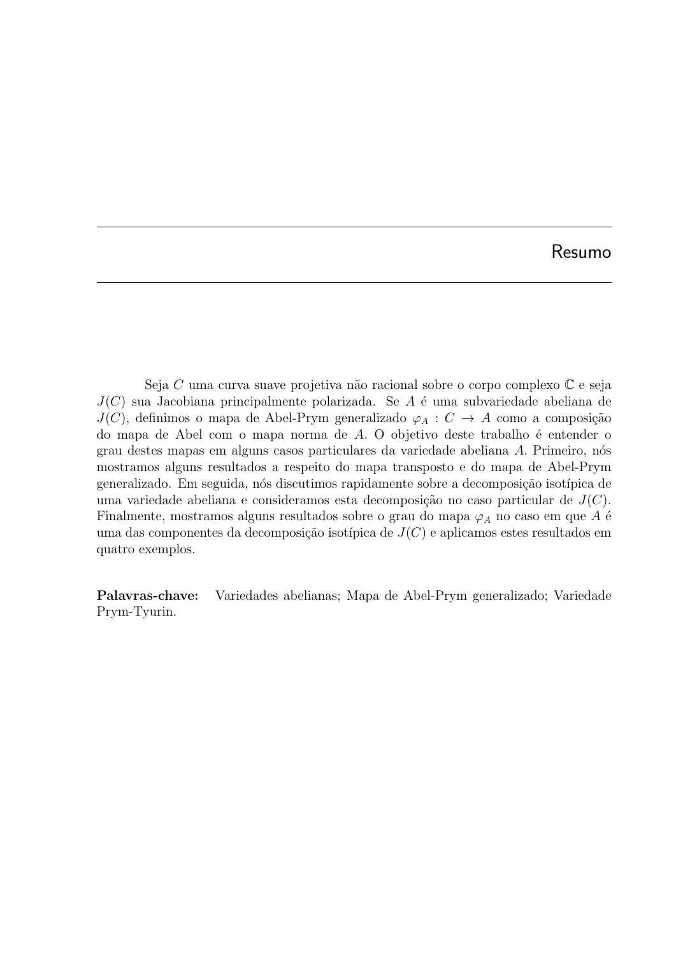Seja  $C$  uma curva suave projetiva não racional sobre o corpo complexo  $\mathbb C$  e seja  $J(C)$  sua Jacobiana principalmente polarizada. Se A é uma subvariedade abeliana de  $J(C)$ , definimos o mapa de Abel-Prym generalizado  $\varphi_A : C \to A$  como a composição do mapa de Abel com o mapa norma de  $A$ . O objetivo deste trabalho é entender o grau destes mapas em alguns casos particulares da variedade abeliana A. Primeiro, n´os mostramos alguns resultados a respeito do mapa transposto e do mapa de Abel-Prym generalizado. Em seguida, nós discutimos rapidamente sobre a decomposição isotípica de uma variedade abeliana e consideramos esta decomposição no caso particular de  $J(C)$ . Finalmente, mostramos alguns resultados sobre o grau do mapa  $\varphi_A$  no caso em que A é uma das componentes da decomposição isotípica de  $J(C)$  e aplicamos estes resultados em quatro exemplos.

Palavras-chave: Variedades abelianas; Mapa de Abel-Prym generalizado; Variedade Prym-Tyurin.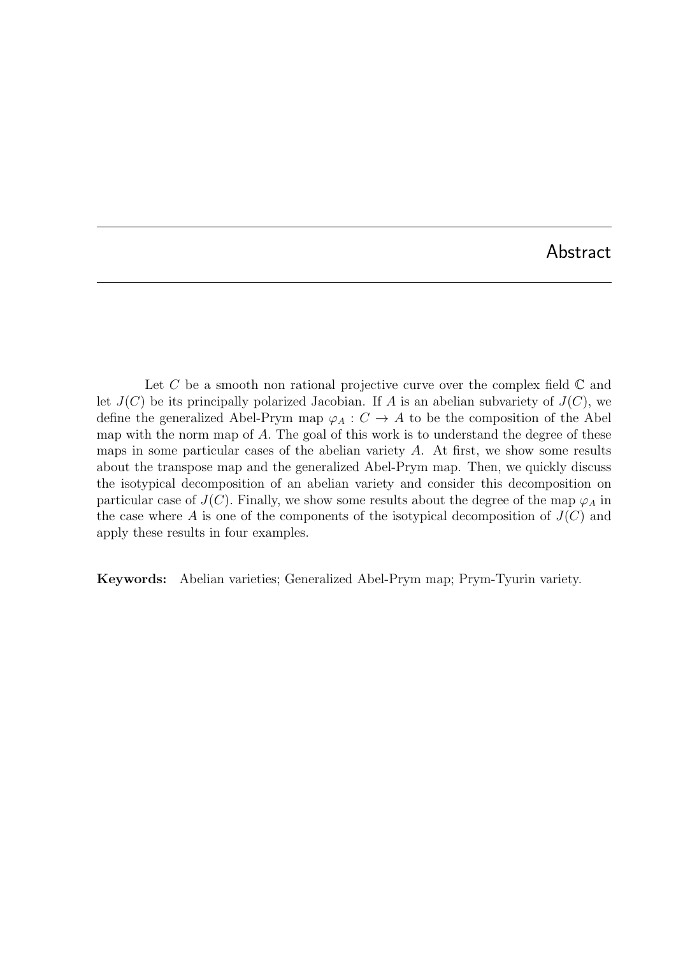Let C be a smooth non rational projective curve over the complex field  $\mathbb C$  and let  $J(C)$  be its principally polarized Jacobian. If A is an abelian subvariety of  $J(C)$ , we define the generalized Abel-Prym map  $\varphi_A : C \to A$  to be the composition of the Abel map with the norm map of A. The goal of this work is to understand the degree of these maps in some particular cases of the abelian variety  $A$ . At first, we show some results about the transpose map and the generalized Abel-Prym map. Then, we quickly discuss the isotypical decomposition of an abelian variety and consider this decomposition on particular case of  $J(C)$ . Finally, we show some results about the degree of the map  $\varphi_A$  in the case where A is one of the components of the isotypical decomposition of  $J(C)$  and apply these results in four examples.

Keywords: Abelian varieties; Generalized Abel-Prym map; Prym-Tyurin variety.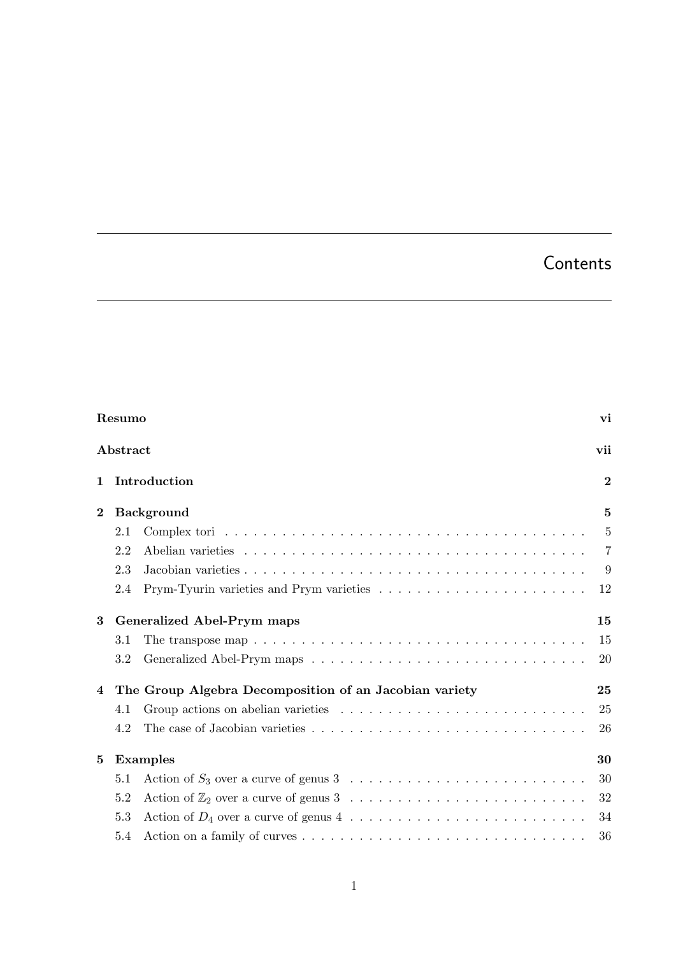# **Contents**

|                 | Resumo                                                                                                         | vi             |  |  |  |  |  |
|-----------------|----------------------------------------------------------------------------------------------------------------|----------------|--|--|--|--|--|
|                 | Abstract                                                                                                       | vii            |  |  |  |  |  |
| 1               | Introduction                                                                                                   | $\overline{2}$ |  |  |  |  |  |
| $\bf{2}$        | <b>Background</b>                                                                                              |                |  |  |  |  |  |
|                 | 2.1                                                                                                            | $\overline{5}$ |  |  |  |  |  |
|                 | 2.2                                                                                                            | $\overline{7}$ |  |  |  |  |  |
|                 | 2.3                                                                                                            | 9              |  |  |  |  |  |
|                 | 2.4                                                                                                            | 12             |  |  |  |  |  |
| 3               | <b>Generalized Abel-Prym maps</b>                                                                              |                |  |  |  |  |  |
|                 | The transpose map $\ldots \ldots \ldots \ldots \ldots \ldots \ldots \ldots \ldots \ldots \ldots \ldots$<br>3.1 | 15             |  |  |  |  |  |
|                 | 3.2                                                                                                            | 20             |  |  |  |  |  |
| 4               | The Group Algebra Decomposition of an Jacobian variety                                                         |                |  |  |  |  |  |
|                 | 4.1                                                                                                            | 25             |  |  |  |  |  |
|                 | 4.2                                                                                                            | 26             |  |  |  |  |  |
| $5\overline{ }$ | <b>Examples</b>                                                                                                |                |  |  |  |  |  |
|                 | 5.1                                                                                                            | 30             |  |  |  |  |  |
|                 | 5.2                                                                                                            | 32             |  |  |  |  |  |
|                 | 5.3                                                                                                            | 34             |  |  |  |  |  |
|                 | 5.4                                                                                                            | 36             |  |  |  |  |  |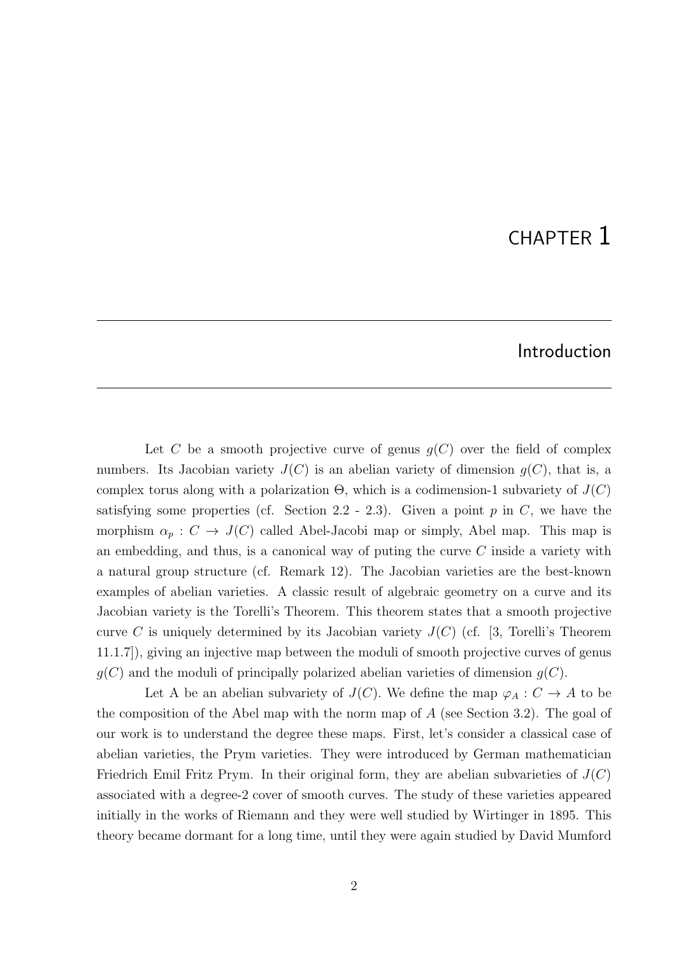# CHAPTER 1

### Introduction

Let C be a smooth projective curve of genus  $g(C)$  over the field of complex numbers. Its Jacobian variety  $J(C)$  is an abelian variety of dimension  $q(C)$ , that is, a complex torus along with a polarization  $\Theta$ , which is a codimension-1 subvariety of  $J(C)$ satisfying some properties (cf. Section 2.2 - 2.3). Given a point  $p$  in  $C$ , we have the morphism  $\alpha_p : C \to J(C)$  called Abel-Jacobi map or simply, Abel map. This map is an embedding, and thus, is a canonical way of puting the curve  $C$  inside a variety with a natural group structure (cf. Remark 12). The Jacobian varieties are the best-known examples of abelian varieties. A classic result of algebraic geometry on a curve and its Jacobian variety is the Torelli's Theorem. This theorem states that a smooth projective curve C is uniquely determined by its Jacobian variety  $J(C)$  (cf. [3, Torelli's Theorem 11.1.7]), giving an injective map between the moduli of smooth projective curves of genus  $g(C)$  and the moduli of principally polarized abelian varieties of dimension  $g(C)$ .

Let A be an abelian subvariety of  $J(C)$ . We define the map  $\varphi_A : C \to A$  to be the composition of the Abel map with the norm map of  $A$  (see Section 3.2). The goal of our work is to understand the degree these maps. First, let's consider a classical case of abelian varieties, the Prym varieties. They were introduced by German mathematician Friedrich Emil Fritz Prym. In their original form, they are abelian subvarieties of  $J(C)$ associated with a degree-2 cover of smooth curves. The study of these varieties appeared initially in the works of Riemann and they were well studied by Wirtinger in 1895. This theory became dormant for a long time, until they were again studied by David Mumford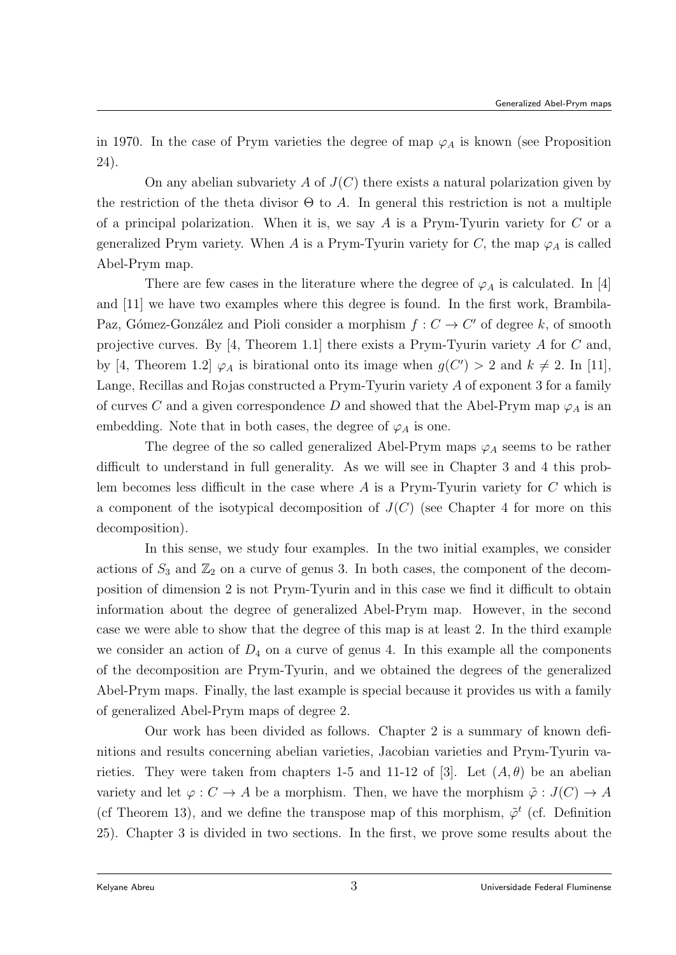in 1970. In the case of Prym varieties the degree of map  $\varphi_A$  is known (see Proposition 24).

On any abelian subvariety A of  $J(C)$  there exists a natural polarization given by the restriction of the theta divisor  $\Theta$  to A. In general this restriction is not a multiple of a principal polarization. When it is, we say  $A$  is a Prym-Tyurin variety for  $C$  or a generalized Prym variety. When A is a Prym-Tyurin variety for C, the map  $\varphi_A$  is called Abel-Prym map.

There are few cases in the literature where the degree of  $\varphi_A$  is calculated. In [4] and [11] we have two examples where this degree is found. In the first work, Brambila-Paz, Gómez-González and Pioli consider a morphism  $f : C \to C'$  of degree k, of smooth projective curves. By [4, Theorem 1.1] there exists a Prym-Tyurin variety A for C and, by [4, Theorem 1.2]  $\varphi_A$  is birational onto its image when  $g(C') > 2$  and  $k \neq 2$ . In [11], Lange, Recillas and Rojas constructed a Prym-Tyurin variety A of exponent 3 for a family of curves C and a given correspondence D and showed that the Abel-Prym map  $\varphi_A$  is an embedding. Note that in both cases, the degree of  $\varphi_A$  is one.

The degree of the so called generalized Abel-Prym maps  $\varphi_A$  seems to be rather difficult to understand in full generality. As we will see in Chapter 3 and 4 this problem becomes less difficult in the case where  $A$  is a Prym-Tyurin variety for  $C$  which is a component of the isotypical decomposition of  $J(C)$  (see Chapter 4 for more on this decomposition).

In this sense, we study four examples. In the two initial examples, we consider actions of  $S_3$  and  $\mathbb{Z}_2$  on a curve of genus 3. In both cases, the component of the decomposition of dimension 2 is not Prym-Tyurin and in this case we find it difficult to obtain information about the degree of generalized Abel-Prym map. However, in the second case we were able to show that the degree of this map is at least 2. In the third example we consider an action of  $D_4$  on a curve of genus 4. In this example all the components of the decomposition are Prym-Tyurin, and we obtained the degrees of the generalized Abel-Prym maps. Finally, the last example is special because it provides us with a family of generalized Abel-Prym maps of degree 2.

Our work has been divided as follows. Chapter 2 is a summary of known definitions and results concerning abelian varieties, Jacobian varieties and Prym-Tyurin varieties. They were taken from chapters 1-5 and 11-12 of [3]. Let  $(A, \theta)$  be an abelian variety and let  $\varphi : C \to A$  be a morphism. Then, we have the morphism  $\tilde{\varphi} : J(C) \to A$ (cf Theorem 13), and we define the transpose map of this morphism,  $\tilde{\varphi}^t$  (cf. Definition 25). Chapter 3 is divided in two sections. In the first, we prove some results about the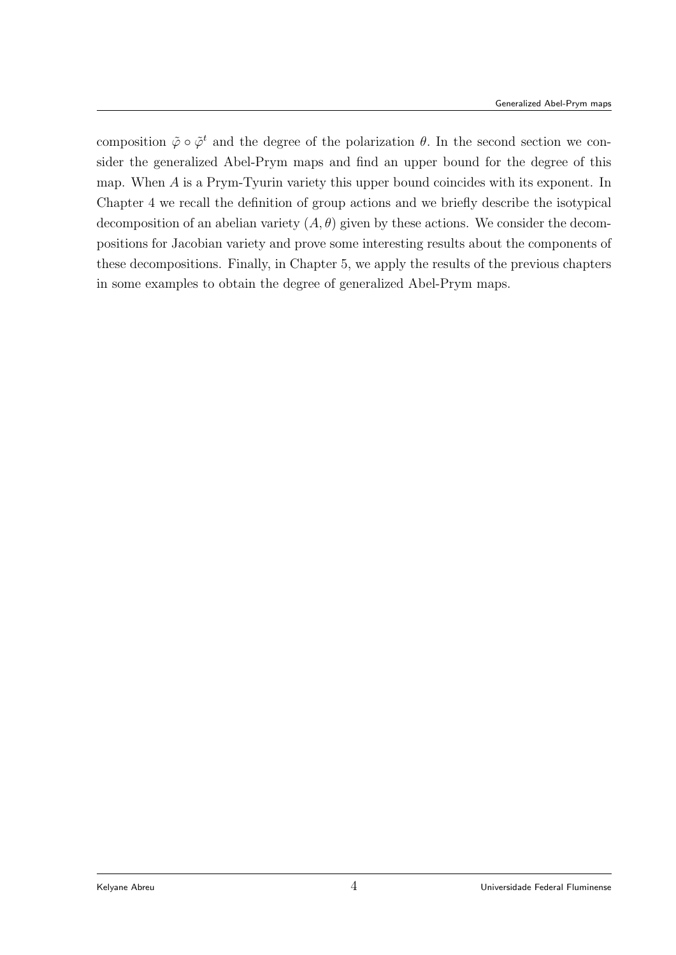composition  $\tilde{\varphi} \circ \tilde{\varphi}^t$  and the degree of the polarization  $\theta$ . In the second section we consider the generalized Abel-Prym maps and find an upper bound for the degree of this map. When A is a Prym-Tyurin variety this upper bound coincides with its exponent. In Chapter 4 we recall the definition of group actions and we briefly describe the isotypical decomposition of an abelian variety  $(A, \theta)$  given by these actions. We consider the decompositions for Jacobian variety and prove some interesting results about the components of these decompositions. Finally, in Chapter 5, we apply the results of the previous chapters in some examples to obtain the degree of generalized Abel-Prym maps.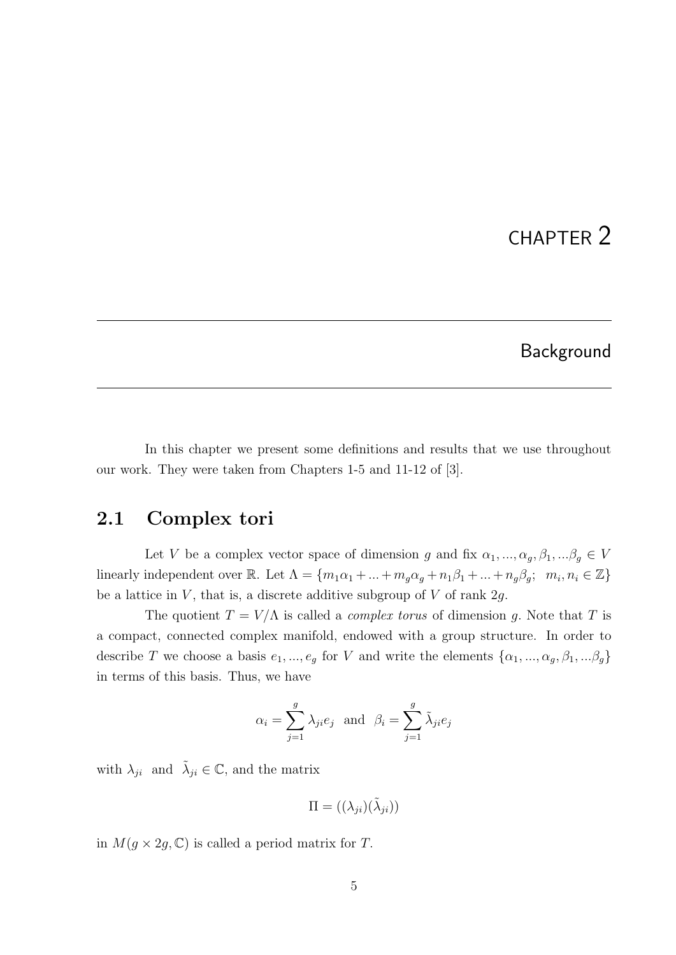# CHAPTER 2

#### Background

In this chapter we present some definitions and results that we use throughout our work. They were taken from Chapters 1-5 and 11-12 of [3].

### 2.1 Complex tori

Let V be a complex vector space of dimension g and fix  $\alpha_1, ..., \alpha_g, \beta_1, ...\beta_g \in V$ linearly independent over R. Let  $\Lambda = \{m_1\alpha_1 + ... + m_g\alpha_g + n_1\beta_1 + ... + n_g\beta_g; m_i, n_i \in \mathbb{Z}\}\$ be a lattice in  $V$ , that is, a discrete additive subgroup of  $V$  of rank  $2g$ .

The quotient  $T = V/\Lambda$  is called a *complex torus* of dimension q. Note that T is a compact, connected complex manifold, endowed with a group structure. In order to describe T we choose a basis  $e_1, ..., e_g$  for V and write the elements  $\{\alpha_1, ..., \alpha_g, \beta_1, ...\beta_g\}$ in terms of this basis. Thus, we have

$$
\alpha_i = \sum_{j=1}^g \lambda_{ji} e_j
$$
 and  $\beta_i = \sum_{j=1}^g \tilde{\lambda}_{ji} e_j$ 

with  $\lambda_{ji}$  and  $\tilde{\lambda}_{ji} \in \mathbb{C}$ , and the matrix

$$
\Pi = ((\lambda_{ji})(\tilde{\lambda}_{ji}))
$$

in  $M(g \times 2g, \mathbb{C})$  is called a period matrix for T.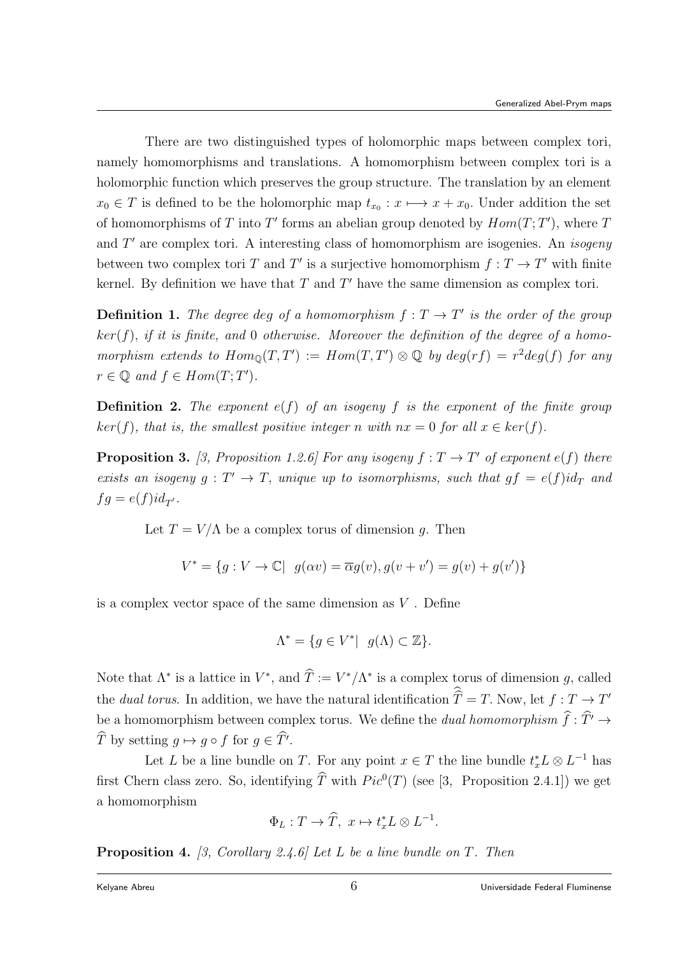There are two distinguished types of holomorphic maps between complex tori, namely homomorphisms and translations. A homomorphism between complex tori is a holomorphic function which preserves the group structure. The translation by an element  $x_0 \in T$  is defined to be the holomorphic map  $t_{x_0}: x \mapsto x + x_0$ . Under addition the set of homomorphisms of T into T' forms an abelian group denoted by  $Hom(T;T')$ , where T and  $T'$  are complex tori. A interesting class of homomorphism are isogenies. An *isogeny* between two complex tori T and T' is a surjective homomorphism  $f: T \to T'$  with finite kernel. By definition we have that  $T$  and  $T'$  have the same dimension as complex tori.

**Definition 1.** The degree deg of a homomorphism  $f: T \to T'$  is the order of the group  $ker(f)$ , if it is finite, and 0 otherwise. Moreover the definition of the degree of a homomorphism extends to  $Hom_{\mathbb{Q}}(T, T') := Hom(T, T') \otimes \mathbb{Q}$  by  $deg(rf) = r^2 deg(f)$  for any  $r \in \mathbb{Q}$  and  $f \in Hom(T; T')$ .

**Definition 2.** The exponent  $e(f)$  of an isogeny f is the exponent of the finite group  $ker(f)$ , that is, the smallest positive integer n with  $nx = 0$  for all  $x \in ker(f)$ .

**Proposition 3.** [3, Proposition 1.2.6] For any isogeny  $f: T \to T'$  of exponent  $e(f)$  there exists an isogeny  $g: T' \to T$ , unique up to isomorphisms, such that  $gf = e(f)id_T$  and  $fg = e(f)id_{T'}$ .

Let  $T = V/\Lambda$  be a complex torus of dimension q. Then

$$
V^* = \{ g : V \to \mathbb{C} | \ g(\alpha v) = \overline{\alpha}g(v), g(v + v') = g(v) + g(v') \}
$$

is a complex vector space of the same dimension as  $V$ . Define

$$
\Lambda^* = \{ g \in V^* | \ g(\Lambda) \subset \mathbb{Z} \}.
$$

Note that  $\Lambda^*$  is a lattice in  $V^*$ , and  $\hat{T} := V^*/\Lambda^*$  is a complex torus of dimension g, called the *dual torus*. In addition, we have the natural identification  $\hat{T} = T$ . Now, let  $f : T \to T'$ be a homomorphism between complex torus. We define the dual homomorphism  $\widehat{f}:\widehat{T}'\rightarrow$ T by setting  $g \mapsto g \circ f$  for  $g \in T'$ .

Let L be a line bundle on T. For any point  $x \in T$  the line bundle  $t_x^* L \otimes L^{-1}$  has first Chern class zero. So, identifying  $\hat{T}$  with  $Pic^0(T)$  (see [3, Proposition 2.4.1]) we get a homomorphism

$$
\Phi_L: T \to \widehat{T}, \ x \mapsto t_x^* L \otimes L^{-1}.
$$

**Proposition 4.** [3, Corollary 2.4.6] Let L be a line bundle on T. Then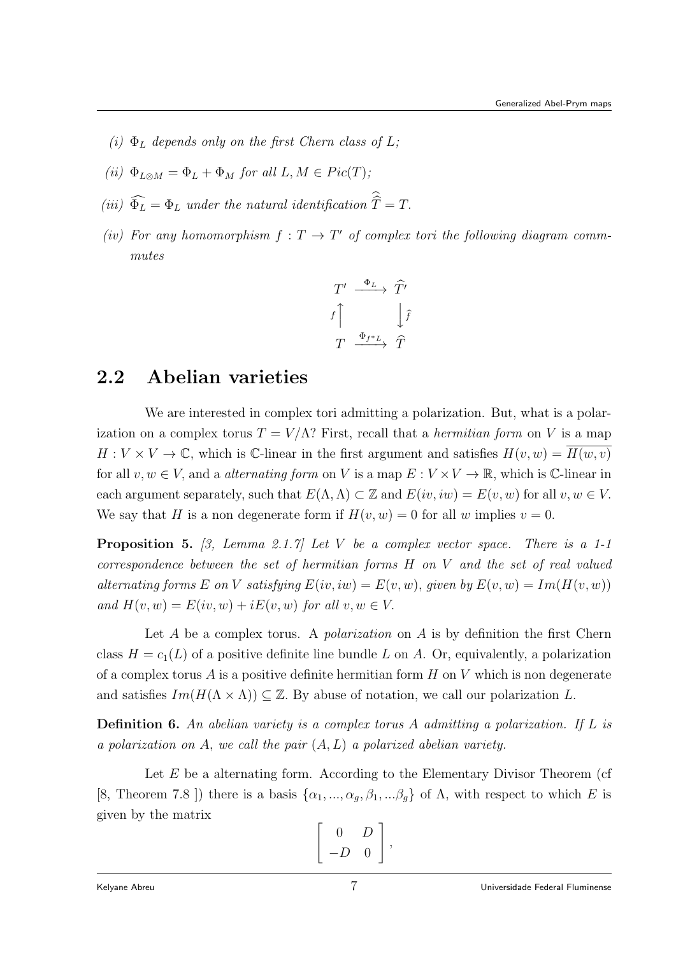- (i)  $\Phi_L$  depends only on the first Chern class of L;
- (ii)  $\Phi_{L\otimes M} = \Phi_L + \Phi_M$  for all  $L, M \in Pic(T)$ ;
- (iii)  $\Phi_L = \Phi_L$  under the natural identification  $T = T$ .
- (iv) For any homomorphism  $f: T \to T'$  of complex tori the following diagram commmutes

$$
T' \xrightarrow{\Phi_L} \widehat{T'}
$$
  

$$
f \uparrow \qquad \qquad \downarrow \widehat{f}
$$
  

$$
T \xrightarrow{\Phi_{f^*L}} \widehat{T}
$$

## 2.2 Abelian varieties

We are interested in complex tori admitting a polarization. But, what is a polarization on a complex torus  $T = V/\Lambda$ ? First, recall that a *hermitian form* on V is a map  $H: V \times V \to \mathbb{C}$ , which is C-linear in the first argument and satisfies  $H(v, w) = H(w, v)$ for all  $v, w \in V$ , and a *alternating form* on V is a map  $E: V \times V \to \mathbb{R}$ , which is C-linear in each argument separately, such that  $E(\Lambda, \Lambda) \subset \mathbb{Z}$  and  $E(iv, iw) = E(v, w)$  for all  $v, w \in V$ . We say that H is a non degenerate form if  $H(v, w) = 0$  for all w implies  $v = 0$ .

**Proposition 5.** [3, Lemma 2.1.7] Let V be a complex vector space. There is a 1-1 correspondence between the set of hermitian forms H on V and the set of real valued alternating forms E on V satisfying  $E(iv, iw) = E(v, w)$ , given by  $E(v, w) = Im(H(v, w))$ and  $H(v, w) = E(iv, w) + iE(v, w)$  for all  $v, w \in V$ .

Let  $A$  be a complex torus. A *polarization* on  $A$  is by definition the first Chern class  $H = c_1(L)$  of a positive definite line bundle L on A. Or, equivalently, a polarization of a complex torus  $A$  is a positive definite hermitian form  $H$  on  $V$  which is non degenerate and satisfies  $Im(H(\Lambda \times \Lambda)) \subseteq \mathbb{Z}$ . By abuse of notation, we call our polarization L.

**Definition 6.** An abelian variety is a complex torus A admitting a polarization. If L is a polarization on A, we call the pair  $(A, L)$  a polarized abelian variety.

Let  $E$  be a alternating form. According to the Elementary Divisor Theorem (cf [8, Theorem 7.8 ]) there is a basis  $\{\alpha_1, ..., \alpha_g, \beta_1, ...\beta_g\}$  of  $\Lambda$ , with respect to which E is given by the matrix

$$
\left[\begin{array}{cc} 0 & D \\ -D & 0 \end{array}\right],
$$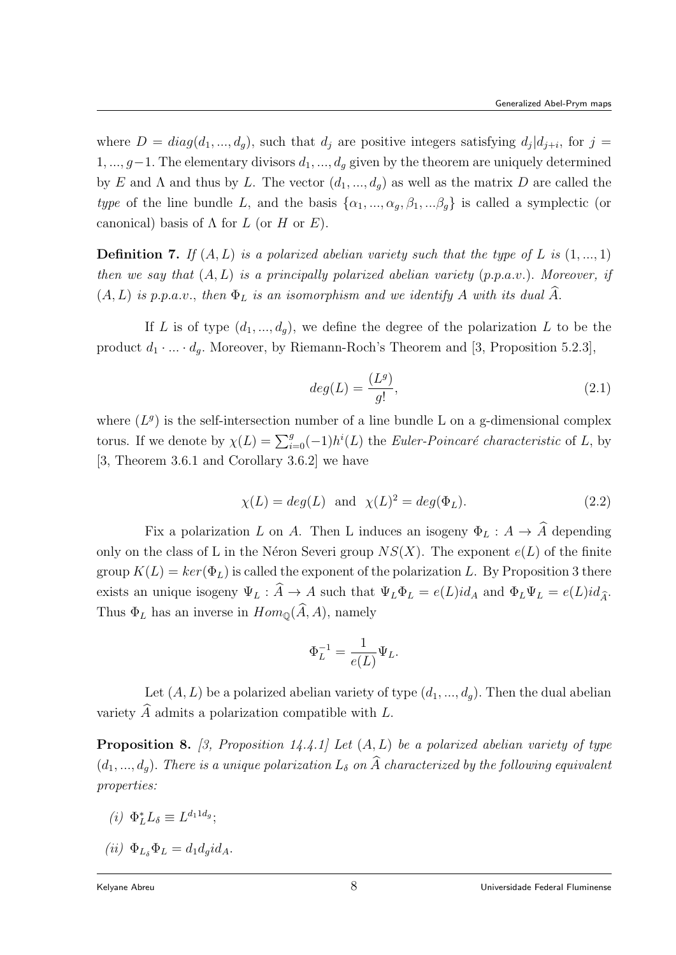where  $D = diag(d_1, ..., d_g)$ , such that  $d_j$  are positive integers satisfying  $d_j | d_{j+i}$ , for  $j =$  $1, ..., g-1$ . The elementary divisors  $d_1, ..., d_g$  given by the theorem are uniquely determined by E and  $\Lambda$  and thus by L. The vector  $(d_1, ..., d_q)$  as well as the matrix D are called the type of the line bundle L, and the basis  $\{\alpha_1, ..., \alpha_q, \beta_1, ...\beta_q\}$  is called a symplectic (or canonical) basis of  $\Lambda$  for  $L$  (or  $H$  or  $E$ ).

**Definition 7.** If  $(A, L)$  is a polarized abelian variety such that the type of L is  $(1, ..., 1)$ then we say that  $(A, L)$  is a principally polarized abelian variety  $(p.p.a.v.)$ . Moreover, if  $(A, L)$  is p.p.a.v., then  $\Phi_L$  is an isomorphism and we identify A with its dual  $\widehat{A}$ .

If L is of type  $(d_1, ..., d_q)$ , we define the degree of the polarization L to be the product  $d_1 \cdot ... \cdot d_g$ . Moreover, by Riemann-Roch's Theorem and [3, Proposition 5.2.3],

$$
deg(L) = \frac{(L^g)}{g!},\tag{2.1}
$$

where  $(L<sup>g</sup>)$  is the self-intersection number of a line bundle L on a g-dimensional complex torus. If we denote by  $\chi(L) = \sum_{i=0}^{g} (-1)h^{i}(L)$  the Euler-Poincaré characteristic of L, by [3, Theorem 3.6.1 and Corollary 3.6.2] we have

$$
\chi(L) = deg(L) \quad \text{and} \quad \chi(L)^2 = deg(\Phi_L). \tag{2.2}
$$

Fix a polarization L on A. Then L induces an isogeny  $\Phi_L : A \to \widehat{A}$  depending only on the class of L in the Néron Severi group  $NS(X)$ . The exponent  $e(L)$  of the finite group  $K(L) = ker(\Phi_L)$  is called the exponent of the polarization L. By Proposition 3 there exists an unique isogeny  $\Psi_L : \widehat{A} \to A$  such that  $\Psi_L \Phi_L = e(L)id_A$  and  $\Phi_L \Psi_L = e(L)id_{\widehat{A}}$ . Thus  $\Phi_L$  has an inverse in  $Hom_{\mathbb{Q}}(\widehat{A}, A)$ , namely

$$
\Phi_L^{-1} = \frac{1}{e(L)} \Psi_L.
$$

Let  $(A, L)$  be a polarized abelian variety of type  $(d_1, ..., d_q)$ . Then the dual abelian variety  $\ddot{A}$  admits a polarization compatible with  $L$ .

**Proposition 8.** [3, Proposition 14.4.1] Let  $(A, L)$  be a polarized abelian variety of type  $(d_1, ..., d_q)$ . There is a unique polarization  $L_{\delta}$  on  $\widehat{A}$  characterized by the following equivalent properties:

- (*i*)  $\Phi_L^* L_\delta \equiv L^{d_1 \mathbf{1} d_g};$
- (ii)  $\Phi_{L\delta}\Phi_L = d_1 d_q i d_A.$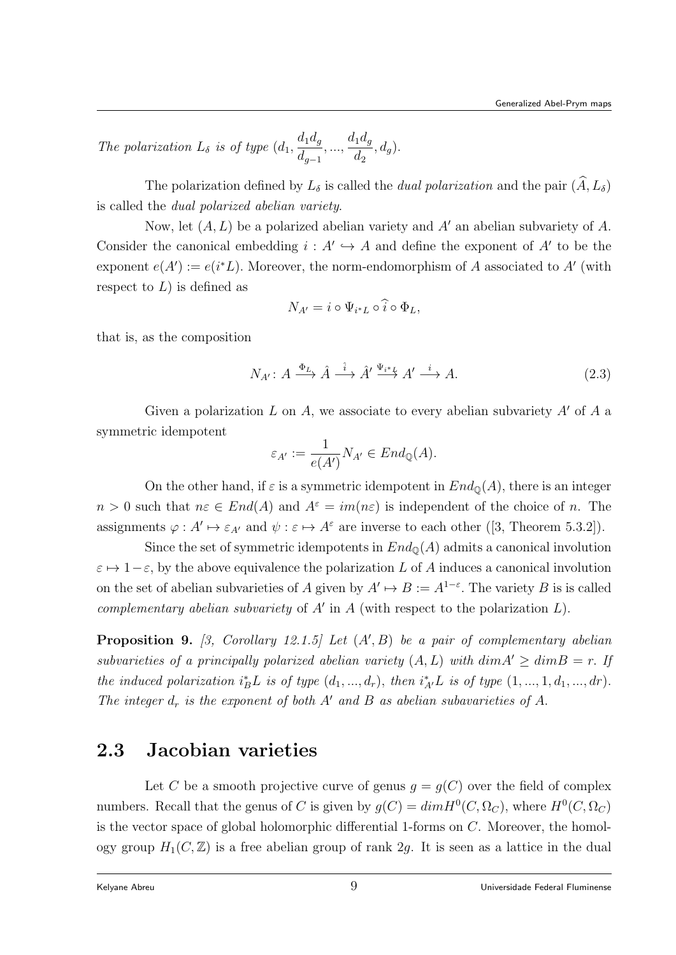The polarization  $L_{\delta}$  is of type  $(d_1,$  $d_1d_g$  $d_{g-1}$  $, ..., \frac{d_1 d_g}{d}$  $d_2$  $,d_g).$ 

The polarization defined by  $L_{\delta}$  is called the *dual polarization* and the pair  $(\widehat{A}, L_{\delta})$ is called the dual polarized abelian variety.

Now, let  $(A, L)$  be a polarized abelian variety and A' an abelian subvariety of A. Consider the canonical embedding  $i : A' \hookrightarrow A$  and define the exponent of A' to be the exponent  $e(A') := e(i^*L)$ . Moreover, the norm-endomorphism of A associated to A' (with respect to  $L$ ) is defined as

$$
N_{A'} = i \circ \Psi_{i^*L} \circ \widehat{i} \circ \Phi_L,
$$

that is, as the composition

$$
N_{A'}: A \xrightarrow{\Phi_L} \hat{A} \xrightarrow{\hat{i}} \hat{A'} \xrightarrow{\Psi_{i^*L}} A' \xrightarrow{i} A.
$$
 (2.3)

Given a polarization L on A, we associate to every abelian subvariety  $A'$  of A a symmetric idempotent

$$
\varepsilon_{A'} := \frac{1}{e(A')} N_{A'} \in End_{\mathbb{Q}}(A).
$$

On the other hand, if  $\varepsilon$  is a symmetric idempotent in  $End_{\mathbb{Q}}(A)$ , there is an integer  $n > 0$  such that  $n \in End(A)$  and  $A^{\varepsilon} = im(n \varepsilon)$  is independent of the choice of n. The assignments  $\varphi: A' \mapsto \varepsilon_{A'}$  and  $\psi: \varepsilon \mapsto A^{\varepsilon}$  are inverse to each other ([3, Theorem 5.3.2]).

Since the set of symmetric idempotents in  $End_{\mathbb{Q}}(A)$  admits a canonical involution  $\varepsilon \mapsto 1-\varepsilon$ , by the above equivalence the polarization L of A induces a canonical involution on the set of abelian subvarieties of A given by  $A' \mapsto B := A^{1-\varepsilon}$ . The variety B is is called complementary abelian subvariety of  $A'$  in  $A$  (with respect to the polarization  $L$ ).

**Proposition 9.** [3, Corollary 12.1.5] Let  $(A', B)$  be a pair of complementary abelian subvarieties of a principally polarized abelian variety  $(A, L)$  with  $\dim A' \geq \dim B = r$ . If the induced polarization  $i_B^*L$  is of type  $(d_1, ..., d_r)$ , then  $i_{A'}^*L$  is of type  $(1, ..., 1, d_1, ..., dr)$ . The integer  $d_r$  is the exponent of both A' and B as abelian subavarieties of A.

## 2.3 Jacobian varieties

Let C be a smooth projective curve of genus  $g = g(C)$  over the field of complex numbers. Recall that the genus of C is given by  $g(C) = dim H^0(C, \Omega_C)$ , where  $H^0(C, \Omega_C)$ is the vector space of global holomorphic differential 1-forms on C. Moreover, the homology group  $H_1(C, \mathbb{Z})$  is a free abelian group of rank 2g. It is seen as a lattice in the dual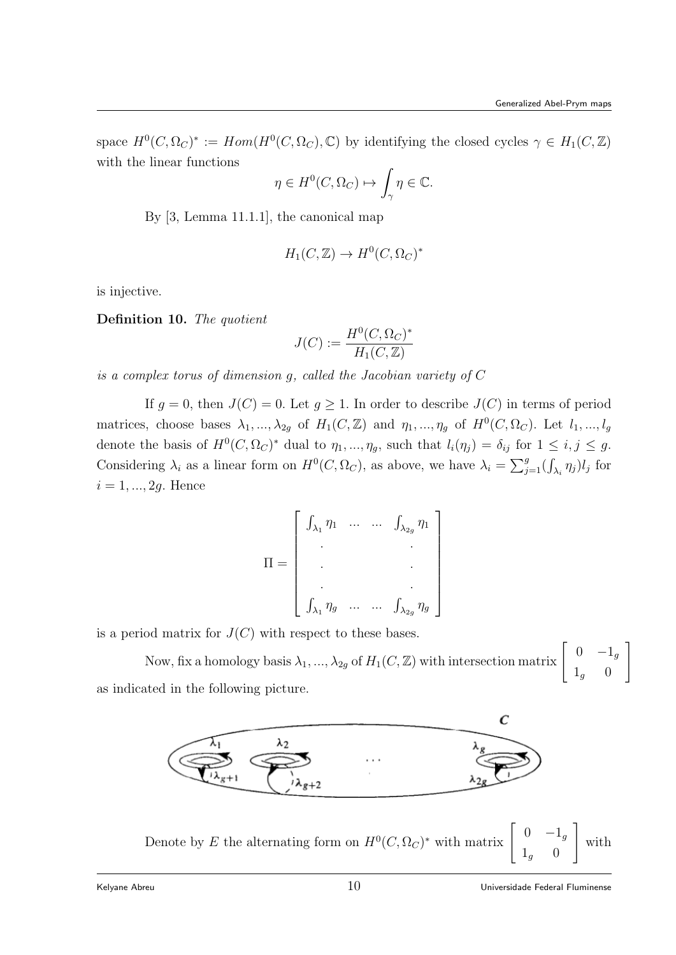space  $H^0(C, \Omega_C)^* := Hom(H^0(C, \Omega_C), \mathbb{C})$  by identifying the closed cycles  $\gamma \in H_1(C, \mathbb{Z})$ with the linear functions

$$
\eta \in H^0(C, \Omega_C) \mapsto \int_{\gamma} \eta \in \mathbb{C}.
$$

By [3, Lemma 11.1.1], the canonical map

$$
H_1(C, \mathbb{Z}) \to H^0(C, \Omega_C)^*
$$

is injective.

Definition 10. The quotient

$$
J(C) := \frac{H^0(C, \Omega_C)^*}{H_1(C, \mathbb{Z})}
$$

is a complex torus of dimension g, called the Jacobian variety of C

If  $g = 0$ , then  $J(C) = 0$ . Let  $g \ge 1$ . In order to describe  $J(C)$  in terms of period matrices, choose bases  $\lambda_1, ..., \lambda_{2g}$  of  $H_1(C, \mathbb{Z})$  and  $\eta_1, ..., \eta_g$  of  $H^0(C, \Omega_C)$ . Let  $l_1, ..., l_g$ denote the basis of  $H^0(C, \Omega_C)^*$  dual to  $\eta_1, ..., \eta_g$ , such that  $l_i(\eta_j) = \delta_{ij}$  for  $1 \leq i, j \leq g$ . Considering  $\lambda_i$  as a linear form on  $H^0(C, \Omega_C)$ , as above, we have  $\lambda_i = \sum_{j=1}^g (\int_{\lambda_i} \eta_j) l_j$  for  $i = 1, ..., 2g$ . Hence

$$
\Pi = \begin{bmatrix}\n\int_{\lambda_1} \eta_1 & \dots & \dots & \int_{\lambda_{2g}} \eta_1 \\
\vdots & & & \vdots \\
\int_{\lambda_1} \eta_g & \dots & \dots & \int_{\lambda_{2g}} \eta_g\n\end{bmatrix}
$$

is a period matrix for  $J(C)$  with respect to these bases.

Now, fix a homology basis  $\lambda_1, ..., \lambda_{2g}$  of  $H_1(C, \mathbb{Z})$  with intersection matrix  $\begin{bmatrix} 0 & -1_g \ 1 & 0 \end{bmatrix}$  $1_g$  0 1 as indicated in the following picture.



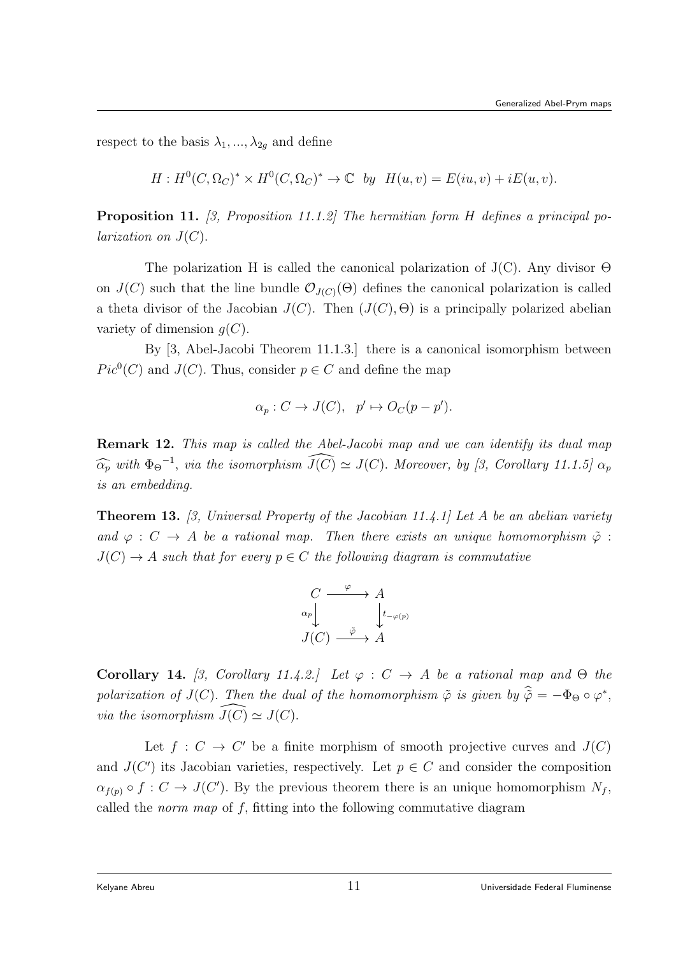respect to the basis  $\lambda_1, ..., \lambda_{2q}$  and define

$$
H: H^0(C, \Omega_C)^* \times H^0(C, \Omega_C)^* \to \mathbb{C} \text{ by } H(u, v) = E(iu, v) + iE(u, v).
$$

Proposition 11. [3, Proposition 11.1.2] The hermitian form H defines a principal po*larization on*  $J(C)$ .

The polarization H is called the canonical polarization of  $J(C)$ . Any divisor  $\Theta$ on  $J(C)$  such that the line bundle  $\mathcal{O}_{J(C)}(\Theta)$  defines the canonical polarization is called a theta divisor of the Jacobian  $J(C)$ . Then  $(J(C), \Theta)$  is a principally polarized abelian variety of dimension  $q(C)$ .

By [3, Abel-Jacobi Theorem 11.1.3.] there is a canonical isomorphism between  $Pic^{0}(C)$  and  $J(C)$ . Thus, consider  $p \in C$  and define the map

$$
\alpha_p: C \to J(C), \quad p' \mapsto O_C(p - p').
$$

Remark 12. This map is called the Abel-Jacobi map and we can identify its dual map  $\widehat{\alpha_p}$  with  $\Phi_{\Theta}^{-1}$ , via the isomorphism  $\widehat{J(C)} \simeq J(C)$ . Moreover, by [3, Corollary 11.1.5]  $\alpha_p$ is an embedding.

**Theorem 13.** [3, Universal Property of the Jacobian 11.4.1] Let A be an abelian variety and  $\varphi : C \to A$  be a rational map. Then there exists an unique homomorphism  $\tilde{\varphi}$ :  $J(C) \rightarrow A$  such that for every  $p \in C$  the following diagram is commutative

$$
\begin{array}{ccc}\nC & \xrightarrow{\varphi} & A \\
\alpha_p & & \downarrow_{t-\varphi(p)} \\
J(C) & \xrightarrow{\tilde{\varphi}} & A\n\end{array}
$$

Corollary 14. [3, Corollary 11.4.2.] Let  $\varphi : C \to A$  be a rational map and  $\Theta$  the polarization of  $J(C)$ . Then the dual of the homomorphism  $\tilde{\varphi}$  is given by  $\hat{\tilde{\varphi}} = -\Phi_{\Theta} \circ \varphi^*$ , via the isomorphism  $\widehat{J(C)} \simeq J(C)$ .

Let  $f: C \to C'$  be a finite morphism of smooth projective curves and  $J(C)$ and  $J(C')$  its Jacobian varieties, respectively. Let  $p \in C$  and consider the composition  $\alpha_{f(p)} \circ f : C \to J(C')$ . By the previous theorem there is an unique homomorphism  $N_f$ , called the *norm map* of  $f$ , fitting into the following commutative diagram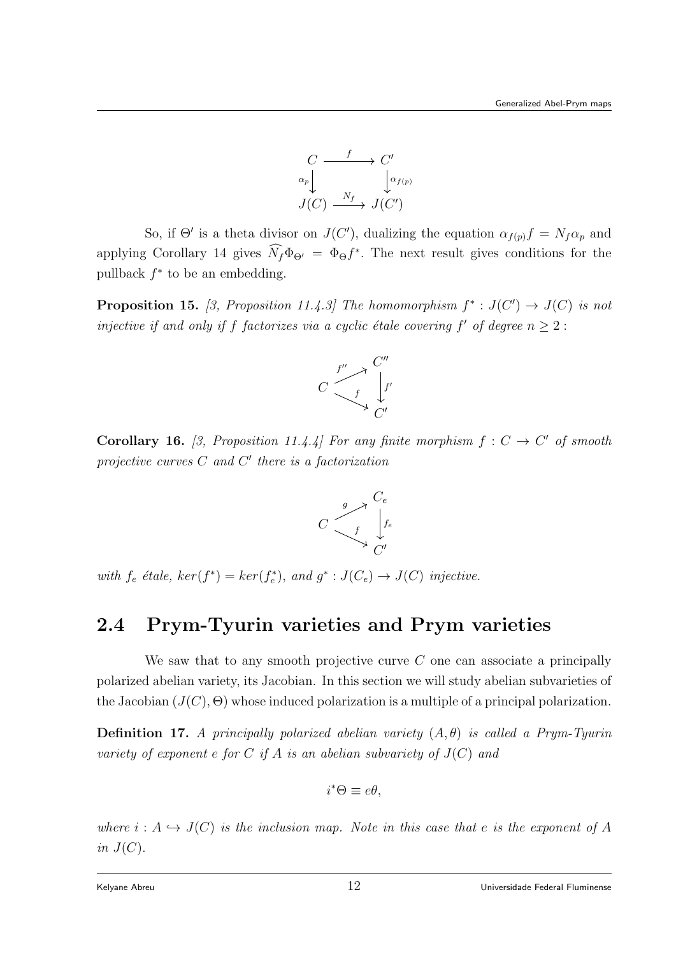

So, if  $\Theta'$  is a theta divisor on  $J(C')$ , dualizing the equation  $\alpha_{f(p)} f = N_f \alpha_p$  and applying Corollary 14 gives  $\hat{N}_f \Phi_{\Theta'} = \Phi_{\Theta} f^*$ . The next result gives conditions for the pullback  $f^*$  to be an embedding.

**Proposition 15.** [3, Proposition 11.4.3] The homomorphism  $f^* : J(C') \to J(C)$  is not injective if and only if f factorizes via a cyclic étale covering f' of degree  $n \geq 2$ :



**Corollary 16.** [3, Proposition 11.4.4] For any finite morphism  $f: C \to C'$  of smooth projective curves  $C$  and  $C'$  there is a factorization



with  $f_e$  étale,  $ker(f^*) = ker(f_e^*)$ , and  $g^*: J(C_e) \to J(C)$  injective.

## 2.4 Prym-Tyurin varieties and Prym varieties

We saw that to any smooth projective curve  $C$  one can associate a principally polarized abelian variety, its Jacobian. In this section we will study abelian subvarieties of the Jacobian  $(J(C), \Theta)$  whose induced polarization is a multiple of a principal polarization.

**Definition 17.** A principally polarized abelian variety  $(A, \theta)$  is called a Prym-Tyurin variety of exponent e for C if A is an abelian subvariety of  $J(C)$  and

$$
i^*\Theta \equiv e\theta,
$$

where  $i : A \hookrightarrow J(C)$  is the inclusion map. Note in this case that e is the exponent of A in  $J(C)$ .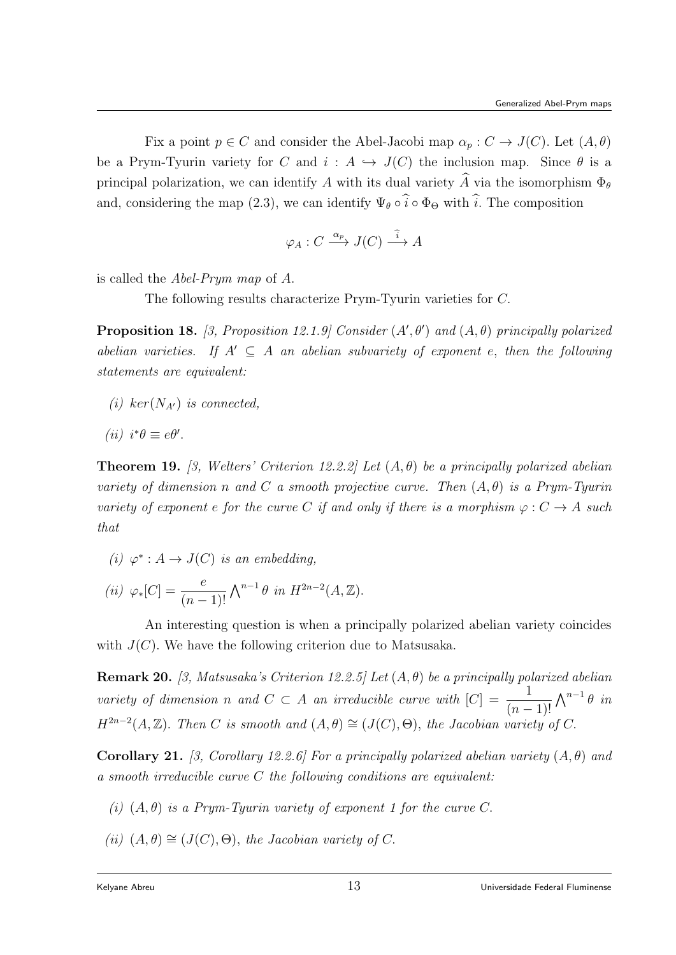Fix a point  $p \in C$  and consider the Abel-Jacobi map  $\alpha_p : C \to J(C)$ . Let  $(A, \theta)$ be a Prym-Tyurin variety for C and  $i : A \hookrightarrow J(C)$  the inclusion map. Since  $\theta$  is a principal polarization, we can identify A with its dual variety  $\widehat{A}$  via the isomorphism  $\Phi_{\theta}$ and, considering the map (2.3), we can identify  $\Psi_{\theta} \circ \hat{i} \circ \Phi_{\Theta}$  with  $\hat{i}$ . The composition

$$
\varphi_A : C \xrightarrow{\alpha_p} J(C) \xrightarrow{\widehat{i}} A
$$

is called the Abel-Prym map of A.

The following results characterize Prym-Tyurin varieties for C.

**Proposition 18.** [3, Proposition 12.1.9] Consider  $(A', \theta')$  and  $(A, \theta)$  principally polarized abelian varieties. If  $A' \subseteq A$  an abelian subvariety of exponent e, then the following statements are equivalent:

(i) ker( $N_{A}$ ) is connected,

$$
(ii) i^*\theta \equiv e\theta'.
$$

**Theorem 19.** [3, Welters' Criterion 12.2.2] Let  $(A, \theta)$  be a principally polarized abelian variety of dimension n and C a smooth projective curve. Then  $(A, \theta)$  is a Prym-Tyurin variety of exponent e for the curve C if and only if there is a morphism  $\varphi: C \to A$  such that

(i)  $\varphi^* : A \to J(C)$  is an embedding,

(*ii*) 
$$
\varphi_*[C] = \frac{e}{(n-1)!} \Lambda^{n-1} \theta
$$
 in  $H^{2n-2}(A, \mathbb{Z})$ .

An interesting question is when a principally polarized abelian variety coincides with  $J(C)$ . We have the following criterion due to Matsusaka.

**Remark 20.** [3, Matsusaka's Criterion 12.2.5] Let  $(A, \theta)$  be a principally polarized abelian variety of dimension n and  $C \subset A$  an irreducible curve with  $|C| = \frac{1}{\sqrt{C}}$  $(n-1)!$  $\bigwedge^{n-1} \theta$  in  $H^{2n-2}(A, \mathbb{Z})$ . Then C is smooth and  $(A, \theta) \cong (J(C), \Theta)$ , the Jacobian variety of C.

**Corollary 21.** [3, Corollary 12.2.6] For a principally polarized abelian variety  $(A, \theta)$  and a smooth irreducible curve C the following conditions are equivalent:

- (i)  $(A, \theta)$  is a Prym-Tyurin variety of exponent 1 for the curve C.
- (ii)  $(A, \theta) \cong (J(C), \Theta)$ , the Jacobian variety of C.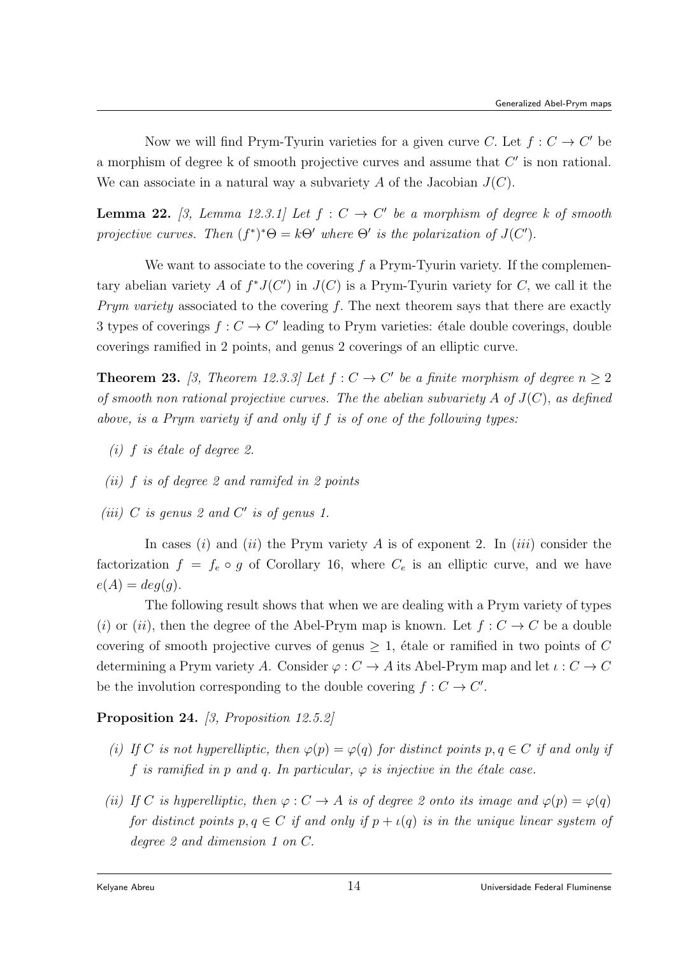Now we will find Prym-Tyurin varieties for a given curve C. Let  $f: C \to C'$  be a morphism of degree  $k$  of smooth projective curves and assume that  $C'$  is non rational. We can associate in a natural way a subvariety  $A$  of the Jacobian  $J(C)$ .

**Lemma 22.** [3, Lemma 12.3.1] Let  $f: C \to C'$  be a morphism of degree k of smooth projective curves. Then  $(f^*)^*\Theta = k\Theta'$  where  $\Theta'$  is the polarization of  $J(C')$ .

We want to associate to the covering  $f$  a Prym-Tyurin variety. If the complementary abelian variety A of  $f^*J(C')$  in  $J(C)$  is a Prym-Tyurin variety for C, we call it the Prym variety associated to the covering  $f$ . The next theorem says that there are exactly 3 types of coverings  $f: C \to C'$  leading to Prym varieties: étale double coverings, double coverings ramified in 2 points, and genus 2 coverings of an elliptic curve.

**Theorem 23.** [3, Theorem 12.3.3] Let  $f: C \to C'$  be a finite morphism of degree  $n \geq 2$ of smooth non rational projective curves. The the abelian subvariety A of  $J(C)$ , as defined above, is a Prym variety if and only if f is of one of the following types:

- (i) f is étale of degree 2.
- (ii) f is of degree 2 and ramifed in 2 points
- (iii)  $C$  is genus 2 and  $C'$  is of genus 1.

In cases (i) and (ii) the Prym variety A is of exponent 2. In (iii) consider the factorization  $f = f_e \circ g$  of Corollary 16, where  $C_e$  is an elliptic curve, and we have  $e(A) = deg(g).$ 

The following result shows that when we are dealing with a Prym variety of types (i) or (ii), then the degree of the Abel-Prym map is known. Let  $f: C \to C$  be a double covering of smooth projective curves of genus  $\geq 1$ , étale or ramified in two points of C determining a Prym variety A. Consider  $\varphi: C \to A$  its Abel-Prym map and let  $\iota: C \to C$ be the involution corresponding to the double covering  $f: C \to C'$ .

Proposition 24. [3, Proposition 12.5.2]

- (i) If C is not hyperelliptic, then  $\varphi(p) = \varphi(q)$  for distinct points  $p, q \in C$  if and only if f is ramified in p and q. In particular,  $\varphi$  is injective in the étale case.
- (ii) If C is hyperelliptic, then  $\varphi: C \to A$  is of degree 2 onto its image and  $\varphi(p) = \varphi(q)$ for distinct points  $p, q \in C$  if and only if  $p + \iota(q)$  is in the unique linear system of degree 2 and dimension 1 on C.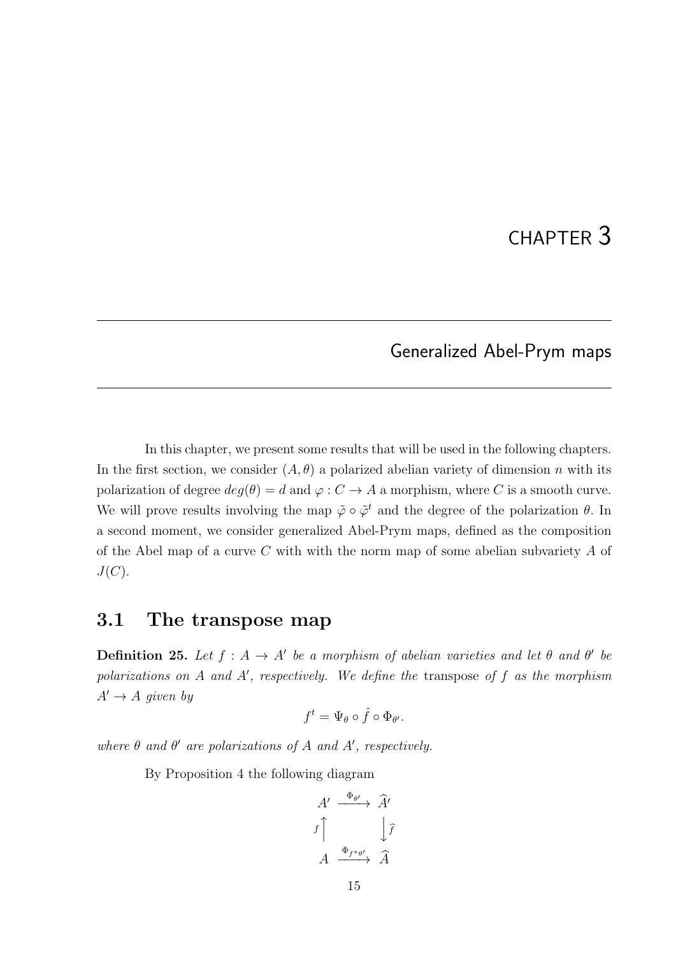# CHAPTER 3

### Generalized Abel-Prym maps

In this chapter, we present some results that will be used in the following chapters. In the first section, we consider  $(A, \theta)$  a polarized abelian variety of dimension n with its polarization of degree  $deg(\theta) = d$  and  $\varphi : C \to A$  a morphism, where C is a smooth curve. We will prove results involving the map  $\tilde{\varphi} \circ \tilde{\varphi}^t$  and the degree of the polarization  $\theta$ . In a second moment, we consider generalized Abel-Prym maps, defined as the composition of the Abel map of a curve  $C$  with with the norm map of some abelian subvariety  $A$  of  $J(C).$ 

### 3.1 The transpose map

**Definition 25.** Let  $f : A \rightarrow A'$  be a morphism of abelian varieties and let  $\theta$  and  $\theta'$  be polarizations on  $A$  and  $A'$ , respectively. We define the transpose of  $f$  as the morphism  $A' \rightarrow A$  given by

$$
f^t = \Psi_{\theta} \circ \hat{f} \circ \Phi_{\theta'}.
$$

where  $\theta$  and  $\theta'$  are polarizations of A and A', respectively.

By Proposition 4 the following diagram

$$
A' \xrightarrow{\Phi_{\theta'}} \hat{A}'
$$
  

$$
f \uparrow \qquad \qquad \downarrow \hat{f}
$$
  

$$
A \xrightarrow{\Phi_{f^*\theta'}} \hat{A}
$$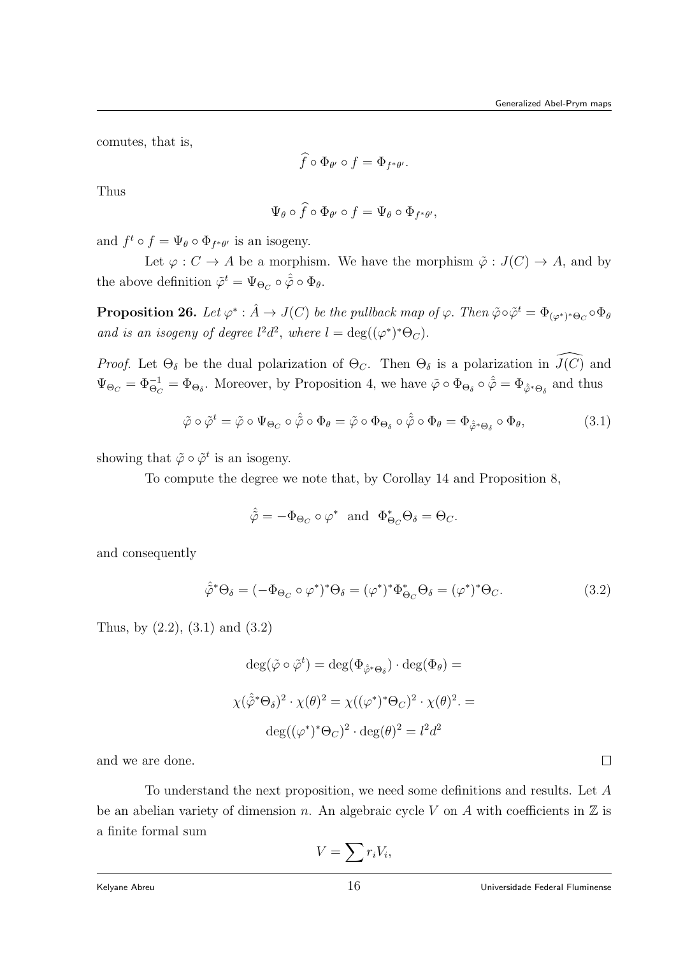comutes, that is,

$$
\widehat{f}\circ\Phi_{\theta'}\circ f=\Phi_{f^*\theta'}.
$$

Thus

$$
\Psi_{\theta} \circ \widehat{f} \circ \Phi_{\theta'} \circ f = \Psi_{\theta} \circ \Phi_{f^*\theta'},
$$

and  $f^t \circ f = \Psi_{\theta} \circ \Phi_{f^*\theta'}$  is an isogeny.

Let  $\varphi : C \to A$  be a morphism. We have the morphism  $\tilde{\varphi} : J(C) \to A$ , and by the above definition  $\tilde{\varphi}^t = \Psi_{\Theta_C} \circ \hat{\tilde{\varphi}} \circ \Phi_{\theta}$ .

**Proposition 26.** Let  $\varphi^*: \hat{A} \to J(C)$  be the pullback map of  $\varphi$ . Then  $\tilde{\varphi} \circ \tilde{\varphi}^t = \Phi_{(\varphi^*)^* \Theta_C} \circ \Phi_{\theta}$ and is an isogeny of degree  $l^2d^2$ , where  $l = \deg((\varphi^*)^*\Theta_C)$ .

*Proof.* Let  $\Theta_{\delta}$  be the dual polarization of  $\Theta_{C}$ . Then  $\Theta_{\delta}$  is a polarization in  $\widehat{J(C)}$  and  $\Psi_{\Theta_C} = \Phi_{\Theta_C}^{-1} = \Phi_{\Theta_{\delta}}$ . Moreover, by Proposition 4, we have  $\tilde{\varphi} \circ \Phi_{\Theta_{\delta}} \circ \hat{\tilde{\varphi}} = \Phi_{\hat{\varphi}^* \Theta_{\delta}}$  and thus

$$
\tilde{\varphi} \circ \tilde{\varphi}^t = \tilde{\varphi} \circ \Psi_{\Theta_C} \circ \hat{\varphi} \circ \Phi_{\theta} = \tilde{\varphi} \circ \Phi_{\Theta_{\delta}} \circ \hat{\varphi} \circ \Phi_{\theta} = \Phi_{\hat{\varphi}^* \Theta_{\delta}} \circ \Phi_{\theta}, \tag{3.1}
$$

showing that  $\tilde{\varphi} \circ \tilde{\varphi}^t$  is an isogeny.

To compute the degree we note that, by Corollay 14 and Proposition 8,

$$
\hat{\tilde{\varphi}} = -\Phi_{\Theta_C} \circ \varphi^* \text{ and } \Phi_{\Theta_C}^* \Theta_{\delta} = \Theta_C.
$$

and consequently

$$
\hat{\tilde{\varphi}}^* \Theta_{\delta} = (-\Phi_{\Theta_C} \circ \varphi^*)^* \Theta_{\delta} = (\varphi^*)^* \Phi_{\Theta_C}^* \Theta_{\delta} = (\varphi^*)^* \Theta_C.
$$
\n(3.2)

Thus, by (2.2), (3.1) and (3.2)

$$
\deg(\tilde{\varphi} \circ \tilde{\varphi}^t) = \deg(\Phi_{\hat{\varphi}^*\Theta_{\delta}}) \cdot \deg(\Phi_{\theta}) =
$$
  

$$
\chi(\hat{\varphi}^*\Theta_{\delta})^2 \cdot \chi(\theta)^2 = \chi((\varphi^*)^*\Theta_C)^2 \cdot \chi(\theta)^2 =
$$
  

$$
\deg((\varphi^*)^*\Theta_C)^2 \cdot \deg(\theta)^2 = l^2d^2
$$

and we are done.

To understand the next proposition, we need some definitions and results. Let A be an abelian variety of dimension n. An algebraic cycle V on A with coefficients in  $\mathbb Z$  is a finite formal sum

$$
V = \sum r_i V_i,
$$

 $\Box$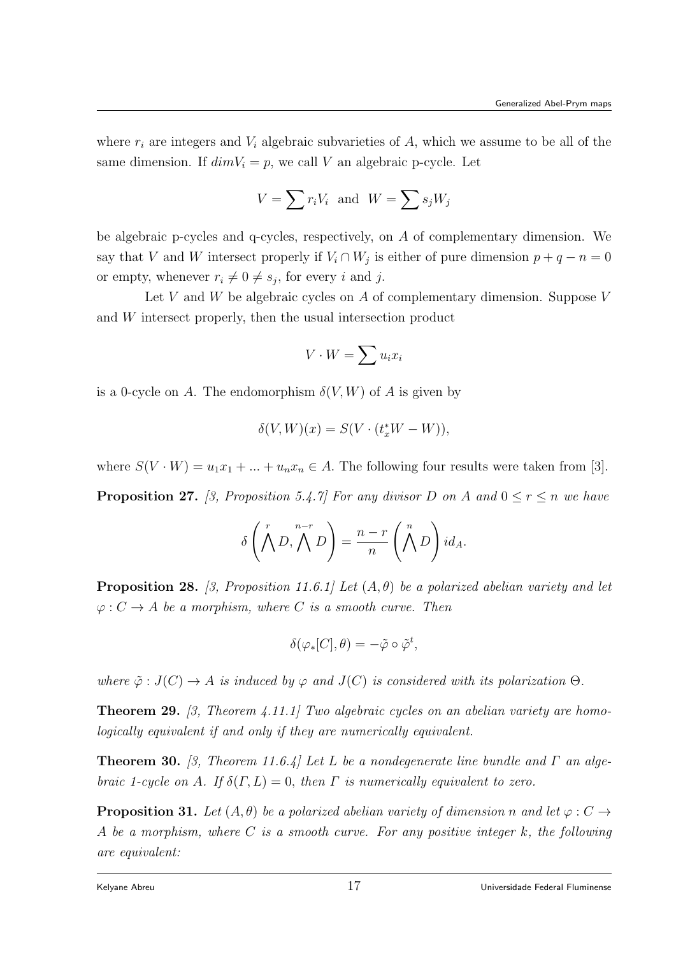where  $r_i$  are integers and  $V_i$  algebraic subvarieties of A, which we assume to be all of the same dimension. If  $dim V_i = p$ , we call V an algebraic p-cycle. Let

$$
V = \sum r_i V_i \text{ and } W = \sum s_j W_j
$$

be algebraic p-cycles and q-cycles, respectively, on A of complementary dimension. We say that V and W intersect properly if  $V_i \cap W_j$  is either of pure dimension  $p + q - n = 0$ or empty, whenever  $r_i \neq 0 \neq s_j$ , for every i and j.

Let V and W be algebraic cycles on A of complementary dimension. Suppose V and W intersect properly, then the usual intersection product

$$
V \cdot W = \sum u_i x_i
$$

is a 0-cycle on A. The endomorphism  $\delta(V, W)$  of A is given by

$$
\delta(V, W)(x) = S(V \cdot (t_x^*W - W)),
$$

where  $S(V \cdot W) = u_1 x_1 + \dots + u_n x_n \in A$ . The following four results were taken from [3].

**Proposition 27.** [3, Proposition 5.4.7] For any divisor D on A and  $0 \le r \le n$  we have

$$
\delta\left(\bigwedge^r D, \bigwedge^{n-r} D\right) = \frac{n-r}{n} \left(\bigwedge^n D\right) id_A.
$$

**Proposition 28.** [3, Proposition 11.6.1] Let  $(A, \theta)$  be a polarized abelian variety and let  $\varphi: C \to A$  be a morphism, where C is a smooth curve. Then

$$
\delta(\varphi_*[C], \theta) = -\tilde{\varphi} \circ \tilde{\varphi}^t,
$$

where  $\tilde{\varphi}: J(C) \to A$  is induced by  $\varphi$  and  $J(C)$  is considered with its polarization  $\Theta$ .

**Theorem 29.** [3, Theorem 4.11.1] Two algebraic cycles on an abelian variety are homologically equivalent if and only if they are numerically equivalent.

**Theorem 30.** [3, Theorem 11.6.4] Let L be a nondegenerate line bundle and  $\Gamma$  an algebraic 1-cycle on A. If  $\delta(\Gamma, L) = 0$ , then  $\Gamma$  is numerically equivalent to zero.

**Proposition 31.** Let  $(A, \theta)$  be a polarized abelian variety of dimension n and let  $\varphi : C \rightarrow$ A be a morphism, where C is a smooth curve. For any positive integer k, the following are equivalent: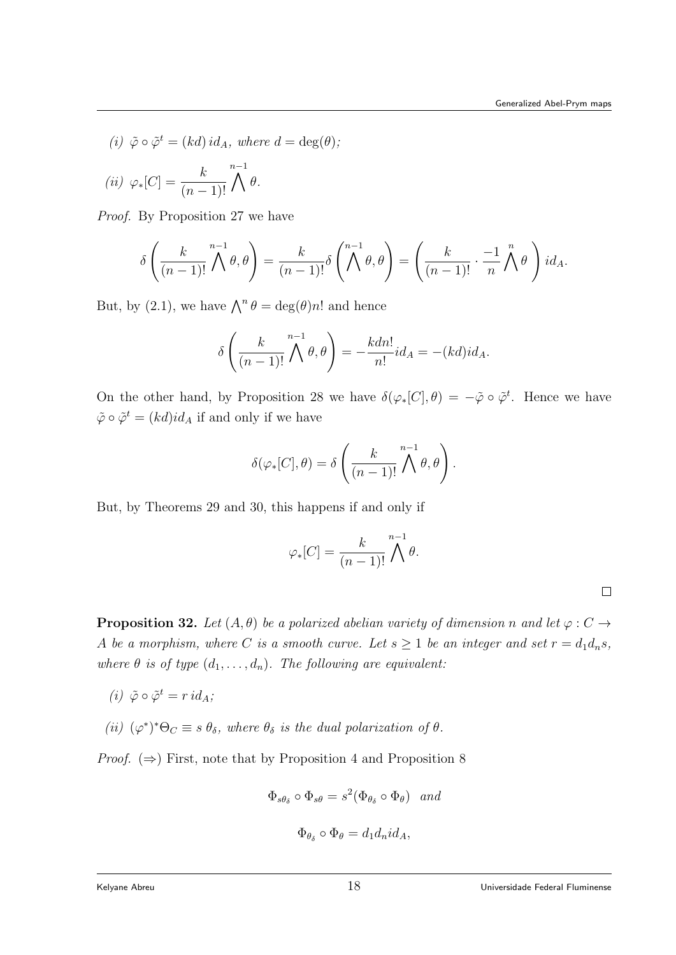(i)  $\tilde{\varphi} \circ \tilde{\varphi}^t = (kd) \, id_A$ , where  $d = \deg(\theta)$ ;

$$
(ii) \varphi_*[C] = \frac{k}{(n-1)!} \bigwedge^{n-1} \theta.
$$

Proof. By Proposition 27 we have

$$
\delta\left(\frac{k}{(n-1)!}\bigwedge^{n-1}\theta,\theta\right)=\frac{k}{(n-1)!}\delta\left(\bigwedge^{n-1}\theta,\theta\right)=\left(\frac{k}{(n-1)!}\cdot\frac{-1}{n}\bigwedge^{n}\theta\right)id_A.
$$

But, by (2.1), we have  $\bigwedge^n \theta = \deg(\theta)n!$  and hence

$$
\delta\left(\frac{k}{(n-1)!}\bigwedge^{n-1}\theta,\theta\right)=-\frac{kdn!}{n!}id_A=-(kd)id_A.
$$

On the other hand, by Proposition 28 we have  $\delta(\varphi_*[C], \theta) = -\tilde{\varphi} \circ \tilde{\varphi}^t$ . Hence we have  $\tilde{\varphi} \circ \tilde{\varphi}^t = (kd)id_A$  if and only if we have

$$
\delta(\varphi_*[C], \theta) = \delta\left(\frac{k}{(n-1)!} \bigwedge^{n-1} \theta, \theta\right).
$$

But, by Theorems 29 and 30, this happens if and only if

$$
\varphi_*[C] = \frac{k}{(n-1)!} \bigwedge^{n-1} \theta.
$$

 $\Box$ 

**Proposition 32.** Let  $(A, \theta)$  be a polarized abelian variety of dimension n and let  $\varphi : C \rightarrow$ A be a morphism, where C is a smooth curve. Let  $s \geq 1$  be an integer and set  $r = d_1 d_n s$ , where  $\theta$  is of type  $(d_1, \ldots, d_n)$ . The following are equivalent:

- (i)  $\tilde{\varphi} \circ \tilde{\varphi}^t = r \, id_A;$
- (ii)  $(\varphi^*)^* \Theta_C \equiv s \theta_\delta$ , where  $\theta_\delta$  is the dual polarization of  $\theta$ .

*Proof.*  $(\Rightarrow)$  First, note that by Proposition 4 and Proposition 8

$$
\Phi_{s\theta_{\delta}} \circ \Phi_{s\theta} = s^2 (\Phi_{\theta_{\delta}} \circ \Phi_{\theta}) \quad and
$$
  

$$
\Phi_{\theta_{\delta}} \circ \Phi_{\theta} = d_1 d_n id_A,
$$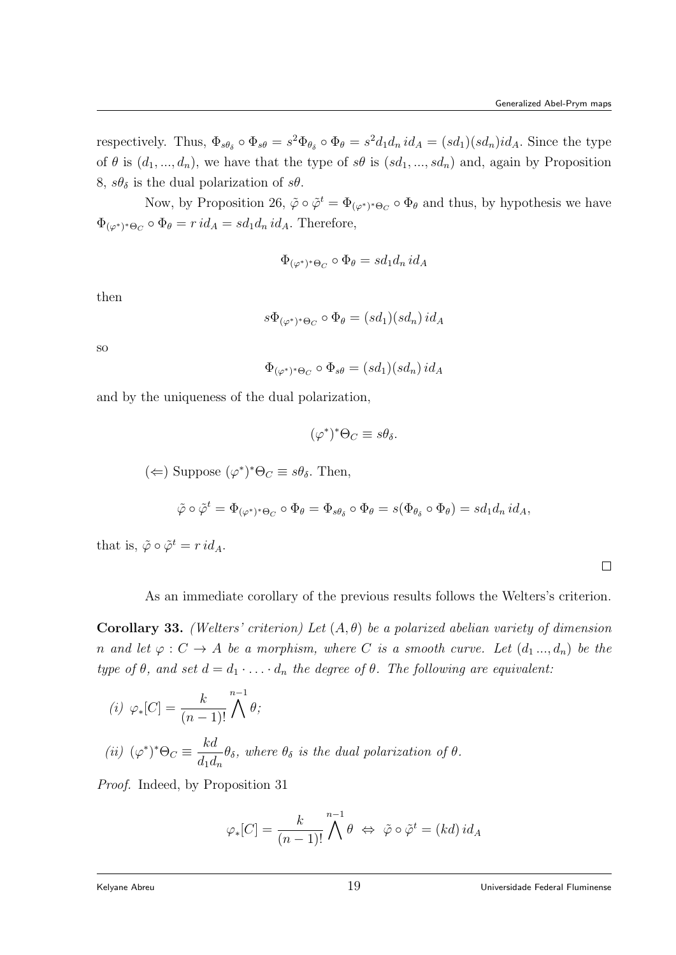respectively. Thus,  $\Phi_{s\theta_{\delta}} \circ \Phi_{s\theta} = s^2 \Phi_{\theta_{\delta}} \circ \Phi_{\theta} = s^2 d_1 d_n id_A = (sd_1)(sd_n) id_A$ . Since the type of  $\theta$  is  $(d_1, ..., d_n)$ , we have that the type of  $s\theta$  is  $(sd_1, ..., sd_n)$  and, again by Proposition 8,  $s\theta_{\delta}$  is the dual polarization of  $s\theta$ .

Now, by Proposition 26,  $\tilde{\varphi} \circ \tilde{\varphi}^t = \Phi_{(\varphi^*)^* \Theta_C} \circ \Phi_{\theta}$  and thus, by hypothesis we have  $\Phi_{(\varphi^*)^*\Theta_C} \circ \Phi_{\theta} = r \, id_A = sd_1d_n \, id_A.$  Therefore,

$$
\Phi_{(\varphi^*)^*\Theta_C} \circ \Phi_{\theta} = sd_1d_n\,id_A
$$

then

$$
s\Phi_{(\varphi^*)^*\Theta_C} \circ \Phi_{\theta} = (sd_1)(sd_n) \, id_A
$$

so

$$
\Phi_{(\varphi^*)^*\Theta_C} \circ \Phi_{s\theta} = (sd_1)(sd_n) \, id_A
$$

and by the uniqueness of the dual polarization,

$$
(\varphi^*)^* \Theta_C \equiv s \theta_\delta.
$$

$$
(\Leftarrow)
$$
 Suppose  $(\varphi^*)^* \Theta_C \equiv s\theta_\delta$ . Then,

$$
\tilde{\varphi}\circ\tilde{\varphi}^t=\Phi_{(\varphi^*)^*\Theta_C}\circ\Phi_{\theta}=\Phi_{s\theta_{\delta}}\circ\Phi_{\theta}=s(\Phi_{\theta_{\delta}}\circ\Phi_{\theta})=sd_1d_n\,id_A,
$$

that is,  $\tilde{\varphi} \circ \tilde{\varphi}^t = r \, id_A.$ 

As an immediate corollary of the previous results follows the Welters's criterion.

Corollary 33. (Welters' criterion) Let  $(A, \theta)$  be a polarized abelian variety of dimension n and let  $\varphi: C \to A$  be a morphism, where C is a smooth curve. Let  $(d_1, ..., d_n)$  be the type of  $\theta$ , and set  $d = d_1 \cdot \ldots \cdot d_n$  the degree of  $\theta$ . The following are equivalent:

(i) 
$$
\varphi_*[C] = \frac{k}{(n-1)!} \bigwedge^{n-1} \theta;
$$
  
\n(ii)  $(\varphi^*)^* \Theta_C \equiv \frac{kd}{d_1 d_n} \theta_\delta$ , where  $\theta_\delta$  is the dual polarization of  $\theta$ .

Proof. Indeed, by Proposition 31

$$
\varphi_*[C] = \frac{k}{(n-1)!} \bigwedge^{n-1} \theta \iff \tilde{\varphi} \circ \tilde{\varphi}^t = (kd) \, id_A
$$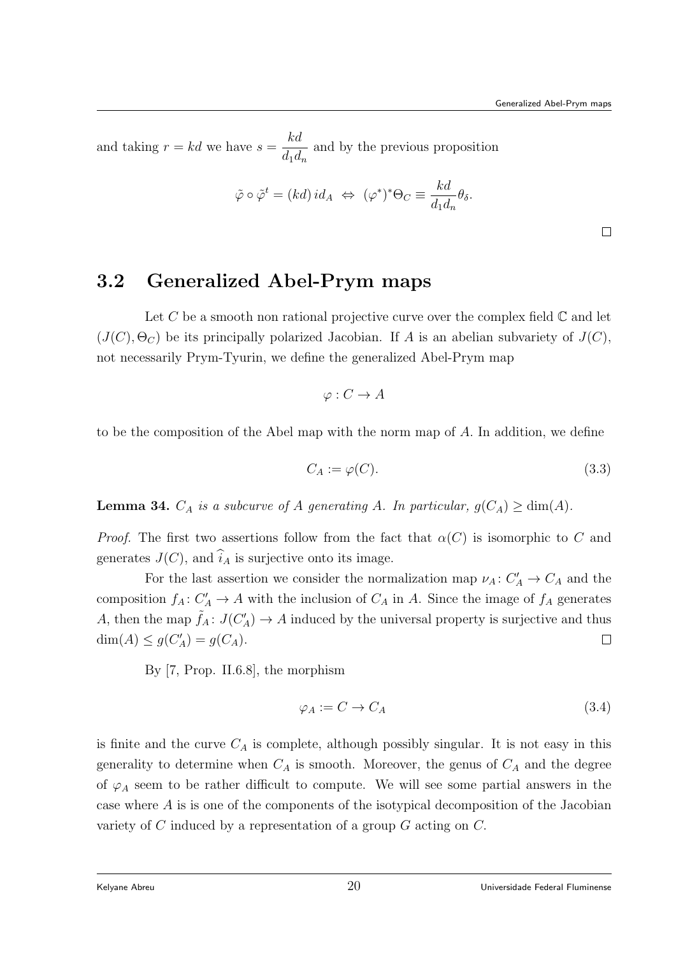and taking  $r = kd$  we have  $s =$ kd  $d_1d_n$ and by the previous proposition

$$
\tilde{\varphi} \circ \tilde{\varphi}^t = (kd) \, id_A \; \Leftrightarrow \; (\varphi^*)^* \Theta_C \equiv \frac{kd}{d_1 d_n} \theta_\delta.
$$

 $\Box$ 

# 3.2 Generalized Abel-Prym maps

Let C be a smooth non rational projective curve over the complex field  $\mathbb C$  and let  $(J(C), \Theta_C)$  be its principally polarized Jacobian. If A is an abelian subvariety of  $J(C)$ , not necessarily Prym-Tyurin, we define the generalized Abel-Prym map

$$
\varphi: C \to A
$$

to be the composition of the Abel map with the norm map of A. In addition, we define

$$
C_A := \varphi(C). \tag{3.3}
$$

**Lemma 34.**  $C_A$  is a subcurve of A generating A. In particular,  $g(C_A) \ge \dim(A)$ .

*Proof.* The first two assertions follow from the fact that  $\alpha(C)$  is isomorphic to C and generates  $J(C)$ , and  $\widehat{i}_A$  is surjective onto its image.

For the last assertion we consider the normalization map  $\nu_A: C'_A \to C_A$  and the composition  $f_A: C'_A \to A$  with the inclusion of  $C_A$  in A. Since the image of  $f_A$  generates A, then the map  $\tilde{f}_A: J(C_A') \to A$  induced by the universal property is surjective and thus  $dim(A) \le g(C'_A) = g(C_A).$  $\Box$ 

By [7, Prop. II.6.8], the morphism

$$
\varphi_A := C \to C_A \tag{3.4}
$$

is finite and the curve  $C_A$  is complete, although possibly singular. It is not easy in this generality to determine when  $C_A$  is smooth. Moreover, the genus of  $C_A$  and the degree of  $\varphi_A$  seem to be rather difficult to compute. We will see some partial answers in the case where A is is one of the components of the isotypical decomposition of the Jacobian variety of  $C$  induced by a representation of a group  $G$  acting on  $C$ .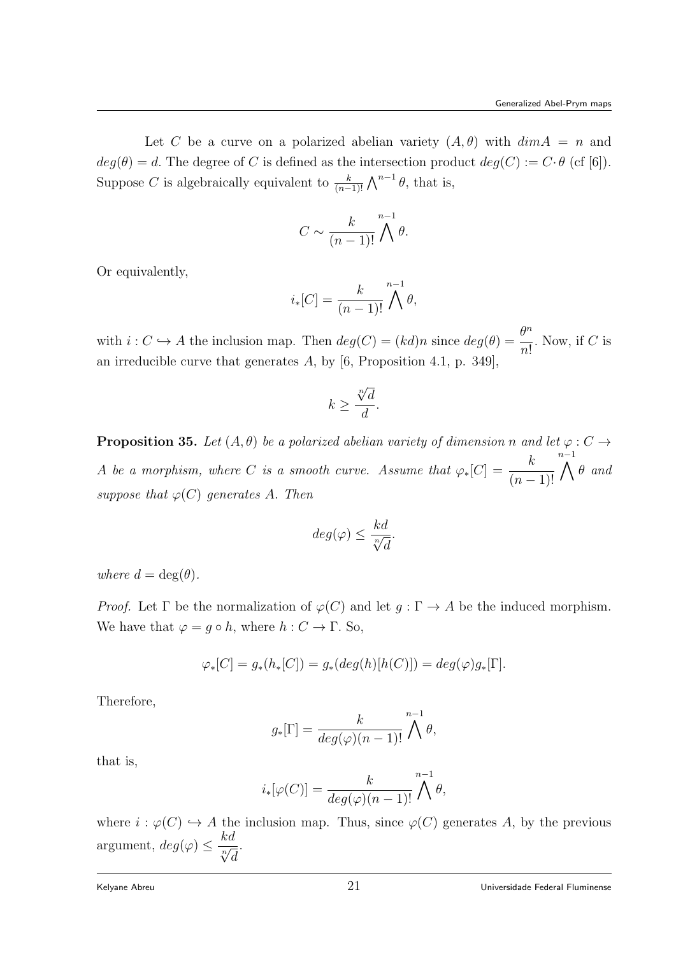Let C be a curve on a polarized abelian variety  $(A, \theta)$  with  $\dim A = n$  and  $deg(\theta) = d$ . The degree of C is defined as the intersection product  $deg(C) := C \cdot \theta$  (cf [6]). Suppose C is algebraically equivalent to  $\frac{k}{(n-1)!} \bigwedge^{n-1} \theta$ , that is,

$$
C \sim \frac{k}{(n-1)!} \bigwedge^{n-1} \theta.
$$

Or equivalently,

$$
i_*[C] = \frac{k}{(n-1)!} \bigwedge^{n-1} \theta,
$$

with  $i: C \hookrightarrow A$  the inclusion map. Then  $deg(C) = (kd)n$  since  $deg(\theta) = \frac{\theta^n}{\theta^n}$  $n!$ . Now, if  $C$  is an irreducible curve that generates  $A$ , by  $[6,$  Proposition 4.1, p. 349],

$$
k \ge \frac{\sqrt[n]{d}}{d}.
$$

**Proposition 35.** Let  $(A, \theta)$  be a polarized abelian variety of dimension n and let  $\varphi : C \rightarrow$ A be a morphism, where C is a smooth curve. Assume that  $\varphi_*[C] = \frac{k}{(n-1)!}$  $\bigwedge^{n-1} \theta$  and suppose that  $\varphi(C)$  generates A. Then

$$
deg(\varphi) \le \frac{kd}{\sqrt[n]{d}}.
$$

where  $d = \deg(\theta)$ .

*Proof.* Let  $\Gamma$  be the normalization of  $\varphi(C)$  and let  $g : \Gamma \to A$  be the induced morphism. We have that  $\varphi = q \circ h$ , where  $h : C \to \Gamma$ . So,

$$
\varphi_*[C] = g_*(h_*[C]) = g_*(deg(h)[h(C)]) = deg(\varphi)g_*[\Gamma].
$$

Therefore,

$$
g_*[\Gamma] = \frac{k}{deg(\varphi)(n-1)!} \bigwedge^{n-1} \theta,
$$

that is,

$$
i_*[\varphi(C)] = \frac{k}{deg(\varphi)(n-1)!} \bigwedge^{n-1} \theta,
$$

where  $i : \varphi(C) \hookrightarrow A$  the inclusion map. Thus, since  $\varphi(C)$  generates A, by the previous argument,  $deg(\varphi) \leq \frac{kd}{\sqrt[n]{d}}$ .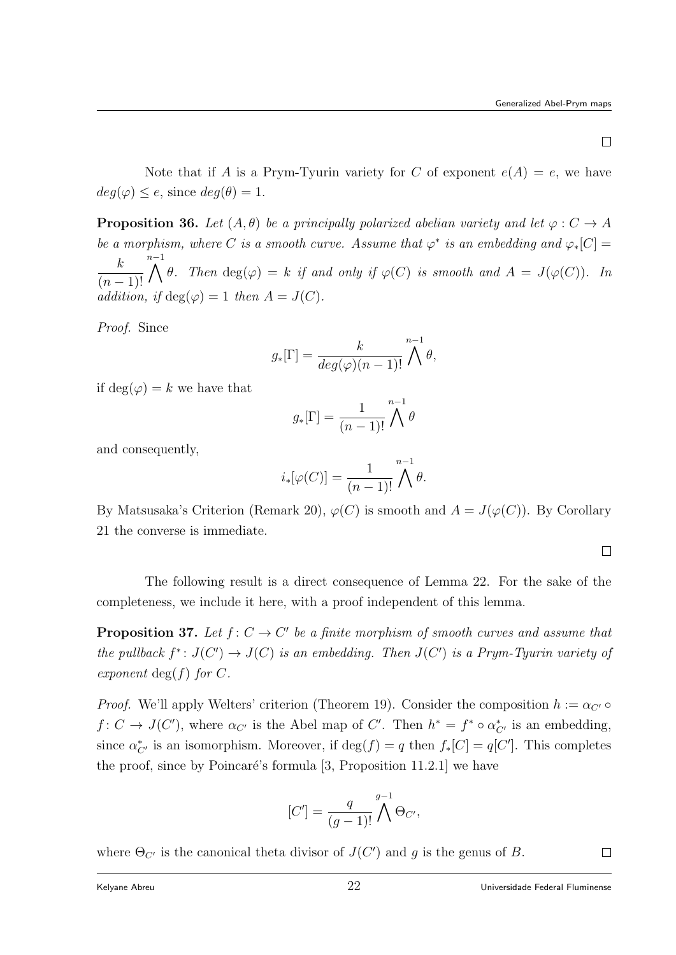$\Box$ 

Note that if A is a Prym-Tyurin variety for C of exponent  $e(A) = e$ , we have  $deg(\varphi) \leq e$ , since  $deg(\theta) = 1$ .

**Proposition 36.** Let  $(A, \theta)$  be a principally polarized abelian variety and let  $\varphi : C \to A$ be a morphism, where C is a smooth curve. Assume that  $\varphi^*$  is an embedding and  $\varphi_*[C] =$ k  $(n-1)!$  $\bigwedge^{n-1}$   $\theta$ . Then  $\deg(\varphi) = k$  if and only if  $\varphi(C)$  is smooth and  $A = J(\varphi(C))$ . In addition, if  $deg(\varphi) = 1$  then  $A = J(C)$ .

Proof. Since

$$
g_*[\Gamma] = \frac{k}{deg(\varphi)(n-1)!} \bigwedge^{n-1} \theta,
$$

if  $deg(\varphi) = k$  we have that

$$
g_*[\Gamma] = \frac{1}{(n-1)!} \bigwedge^{n-1} \theta
$$

and consequently,

$$
i_*[\varphi(C)] = \frac{1}{(n-1)!} \bigwedge^{n-1} \theta.
$$

By Matsusaka's Criterion (Remark 20),  $\varphi(C)$  is smooth and  $A = J(\varphi(C))$ . By Corollary 21 the converse is immediate.

 $\Box$ 

The following result is a direct consequence of Lemma 22. For the sake of the completeness, we include it here, with a proof independent of this lemma.

**Proposition 37.** Let  $f: C \to C'$  be a finite morphism of smooth curves and assume that the pullback  $f^*: J(C') \to J(C)$  is an embedding. Then  $J(C')$  is a Prym-Tyurin variety of exponent deg(f) for  $C$ .

*Proof.* We'll apply Welters' criterion (Theorem 19). Consider the composition  $h := \alpha_{C'} \circ$  $f: C \to J(C')$ , where  $\alpha_{C'}$  is the Abel map of C'. Then  $h^* = f^* \circ \alpha_{C'}^*$  is an embedding, since  $\alpha_{C'}^*$  is an isomorphism. Moreover, if  $\deg(f) = q$  then  $f_*[C] = q[C']$ . This completes the proof, since by Poincaré's formula  $[3,$  Proposition 11.2.1] we have

$$
[C'] = \frac{q}{(g-1)!} \bigwedge^{g-1} \Theta_{C'},
$$

where  $\Theta_{C'}$  is the canonical theta divisor of  $J(C')$  and g is the genus of B.

 $\Box$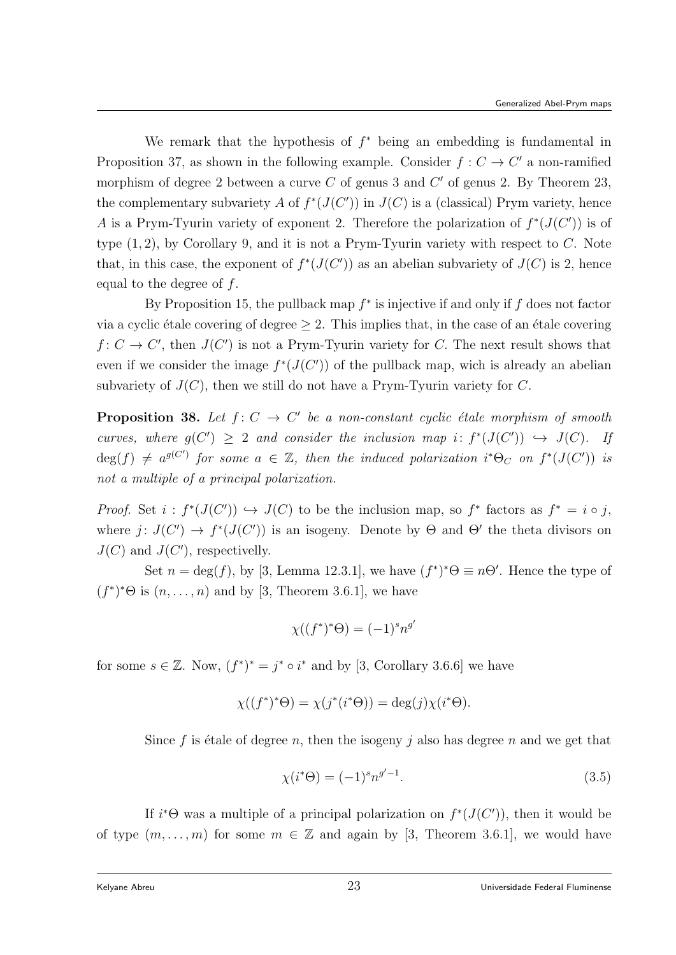We remark that the hypothesis of  $f^*$  being an embedding is fundamental in Proposition 37, as shown in the following example. Consider  $f: C \to C'$  a non-ramified morphism of degree 2 between a curve  $C$  of genus 3 and  $C'$  of genus 2. By Theorem 23, the complementary subvariety A of  $f^*(J(C'))$  in  $J(C)$  is a (classical) Prym variety, hence A is a Prym-Tyurin variety of exponent 2. Therefore the polarization of  $f^*(J(C'))$  is of type  $(1, 2)$ , by Corollary 9, and it is not a Prym-Tyurin variety with respect to C. Note that, in this case, the exponent of  $f^*(J(C'))$  as an abelian subvariety of  $J(C)$  is 2, hence equal to the degree of f.

By Proposition 15, the pullback map  $f^*$  is injective if and only if  $f$  does not factor via a cyclic étale covering of degree  $\geq 2$ . This implies that, in the case of an étale covering  $f: C \to C'$ , then  $J(C')$  is not a Prym-Tyurin variety for C. The next result shows that even if we consider the image  $f^*(J(C'))$  of the pullback map, wich is already an abelian subvariety of  $J(C)$ , then we still do not have a Prym-Tyurin variety for C.

**Proposition 38.** Let  $f: C \to C'$  be a non-constant cyclic étale morphism of smooth curves, where  $g(C') \geq 2$  and consider the inclusion map i:  $f^*(J(C')) \hookrightarrow J(C)$ . If  $deg(f) \neq a^{g(C')}$  for some  $a \in \mathbb{Z}$ , then the induced polarization i\* $\Theta_C$  on  $f^*(J(C'))$  is not a multiple of a principal polarization.

*Proof.* Set  $i : f^*(J(C')) \hookrightarrow J(C)$  to be the inclusion map, so  $f^*$  factors as  $f^* = i \circ j$ , where  $j: J(C') \to f^*(J(C'))$  is an isogeny. Denote by  $\Theta$  and  $\Theta'$  the theta divisors on  $J(C)$  and  $J(C')$ , respectivelly.

Set  $n = \deg(f)$ , by [3, Lemma 12.3.1], we have  $(f^*)^*\Theta \equiv n\Theta'$ . Hence the type of  $(f^*)^* \Theta$  is  $(n, \ldots, n)$  and by [3, Theorem 3.6.1], we have

$$
\chi((f^*)^*\Theta) = (-1)^s n^{g'}
$$

for some  $s \in \mathbb{Z}$ . Now,  $(f^*)^* = j^* \circ i^*$  and by [3, Corollary 3.6.6] we have

$$
\chi((f^*)^*\Theta) = \chi(j^*(i^*\Theta)) = \deg(j)\chi(i^*\Theta).
$$

Since f is étale of degree n, then the isogeny j also has degree n and we get that

$$
\chi(i^*\Theta) = (-1)^s n^{g'-1}.
$$
\n(3.5)

If  $i^*\Theta$  was a multiple of a principal polarization on  $f^*(J(C'))$ , then it would be of type  $(m, \ldots, m)$  for some  $m \in \mathbb{Z}$  and again by [3, Theorem 3.6.1], we would have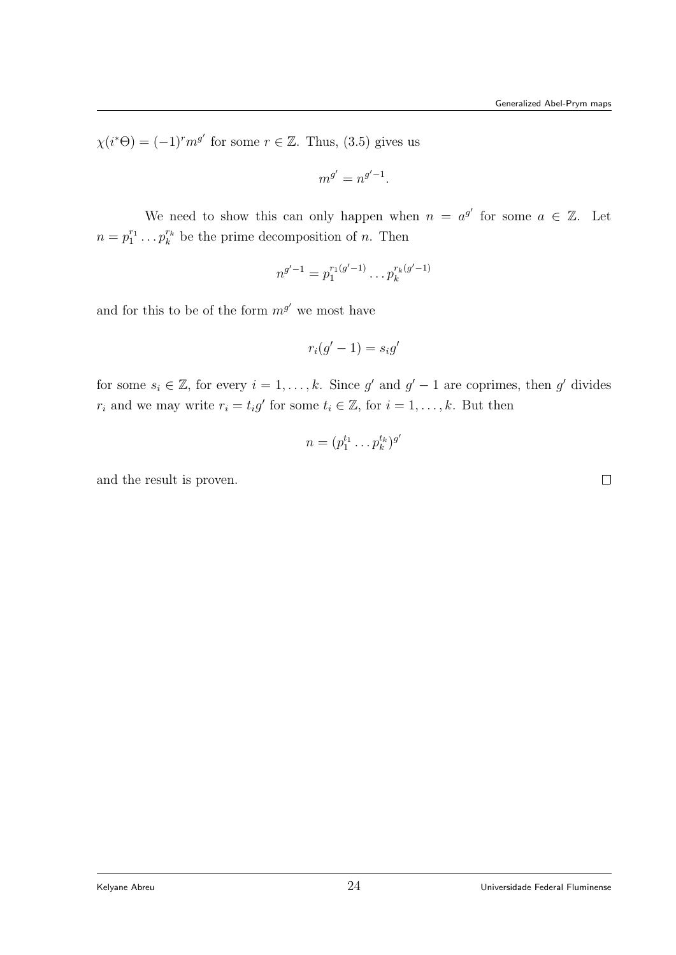$\Box$ 

 $\chi(i^*\Theta) = (-1)^r m^{g'}$  for some  $r \in \mathbb{Z}$ . Thus, (3.5) gives us

$$
m^{g'} = n^{g'-1}.
$$

We need to show this can only happen when  $n = a^{g'}$  for some  $a \in \mathbb{Z}$ . Let  $n = p_1^{r_1} \dots p_k^{r_k}$  be the prime decomposition of n. Then

$$
n^{g'-1} = p_1^{r_1(g'-1)} \dots p_k^{r_k(g'-1)}
$$

and for this to be of the form  $m^{g'}$  we most have

$$
r_i(g'-1) = s_i g'
$$

for some  $s_i \in \mathbb{Z}$ , for every  $i = 1, ..., k$ . Since g' and  $g' - 1$  are coprimes, then g' divides  $r_i$  and we may write  $r_i = t_i g'$  for some  $t_i \in \mathbb{Z}$ , for  $i = 1, \ldots, k$ . But then

$$
n=(p_1^{t_1}\ldots p_k^{t_k})^{g'}
$$

and the result is proven.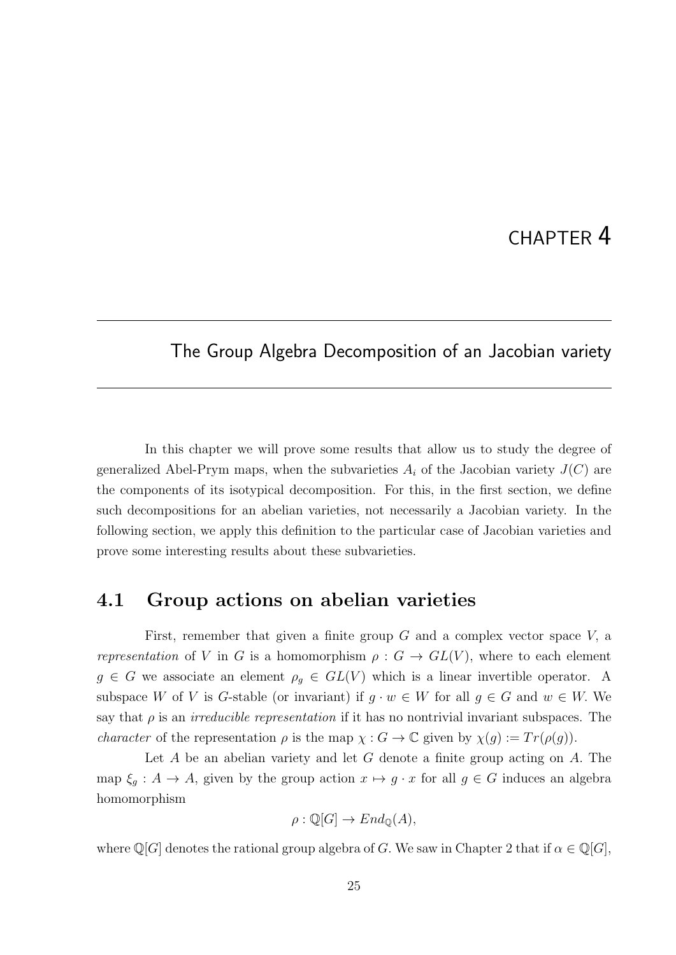# CHAPTER 4

#### The Group Algebra Decomposition of an Jacobian variety

In this chapter we will prove some results that allow us to study the degree of generalized Abel-Prym maps, when the subvarieties  $A_i$  of the Jacobian variety  $J(C)$  are the components of its isotypical decomposition. For this, in the first section, we define such decompositions for an abelian varieties, not necessarily a Jacobian variety. In the following section, we apply this definition to the particular case of Jacobian varieties and prove some interesting results about these subvarieties.

#### 4.1 Group actions on abelian varieties

First, remember that given a finite group  $G$  and a complex vector space  $V$ , a representation of V in G is a homomorphism  $\rho: G \to GL(V)$ , where to each element  $g \in G$  we associate an element  $\rho_g \in GL(V)$  which is a linear invertible operator. A subspace W of V is G-stable (or invariant) if  $g \cdot w \in W$  for all  $g \in G$  and  $w \in W$ . We say that  $\rho$  is an *irreducible representation* if it has no nontrivial invariant subspaces. The *character* of the representation  $\rho$  is the map  $\chi : G \to \mathbb{C}$  given by  $\chi(g) := Tr(\rho(g))$ .

Let  $A$  be an abelian variety and let  $G$  denote a finite group acting on  $A$ . The map  $\xi_g : A \to A$ , given by the group action  $x \mapsto g \cdot x$  for all  $g \in G$  induces an algebra homomorphism

$$
\rho : \mathbb{Q}[G] \to End_{\mathbb{Q}}(A),
$$

where  $\mathbb{Q}[G]$  denotes the rational group algebra of G. We saw in Chapter 2 that if  $\alpha \in \mathbb{Q}[G]$ ,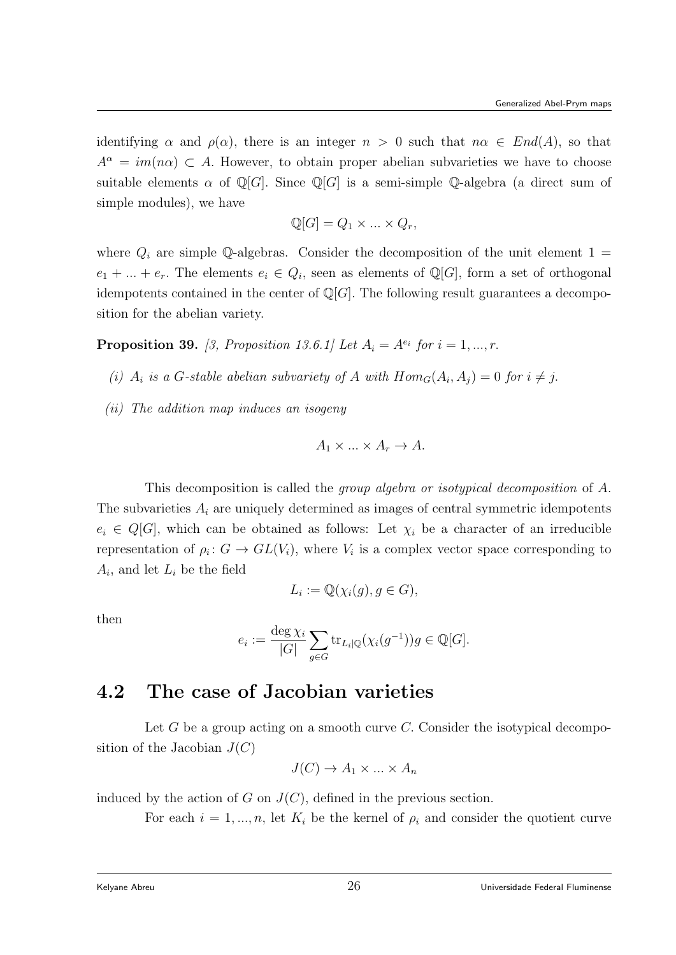identifying  $\alpha$  and  $\rho(\alpha)$ , there is an integer  $n > 0$  such that  $n\alpha \in End(A)$ , so that  $A^{\alpha} = im(n\alpha) \subset A$ . However, to obtain proper abelian subvarieties we have to choose suitable elements  $\alpha$  of Q[G]. Since Q[G] is a semi-simple Q-algebra (a direct sum of simple modules), we have

$$
\mathbb{Q}[G] = Q_1 \times \ldots \times Q_r,
$$

where  $Q_i$  are simple Q-algebras. Consider the decomposition of the unit element 1 =  $e_1 + \ldots + e_r$ . The elements  $e_i \in Q_i$ , seen as elements of Q[G], form a set of orthogonal idempotents contained in the center of  $\mathbb{Q}[G]$ . The following result guarantees a decomposition for the abelian variety.

**Proposition 39.** [3, Proposition 13.6.1] Let  $A_i = A^{e_i}$  for  $i = 1, ..., r$ .

- (i)  $A_i$  is a G-stable abelian subvariety of A with  $Hom_G(A_i, A_j) = 0$  for  $i \neq j$ .
- (ii) The addition map induces an isogeny

$$
A_1 \times \ldots \times A_r \to A.
$$

This decomposition is called the group algebra or isotypical decomposition of A. The subvarieties  $A_i$  are uniquely determined as images of central symmetric idempotents  $e_i \in Q[G]$ , which can be obtained as follows: Let  $\chi_i$  be a character of an irreducible representation of  $\rho_i: G \to GL(V_i)$ , where  $V_i$  is a complex vector space corresponding to  $A_i$ , and let  $L_i$  be the field

$$
L_i := \mathbb{Q}(\chi_i(g), g \in G),
$$

then

$$
e_i := \frac{\deg \chi_i}{|G|} \sum_{g \in G} \text{tr}_{L_i|\mathbb{Q}}(\chi_i(g^{-1}))g \in \mathbb{Q}[G].
$$

### 4.2 The case of Jacobian varieties

Let  $G$  be a group acting on a smooth curve  $C$ . Consider the isotypical decomposition of the Jacobian  $J(C)$ 

$$
J(C) \to A_1 \times \dots \times A_n
$$

induced by the action of G on  $J(C)$ , defined in the previous section.

For each  $i = 1, ..., n$ , let  $K_i$  be the kernel of  $\rho_i$  and consider the quotient curve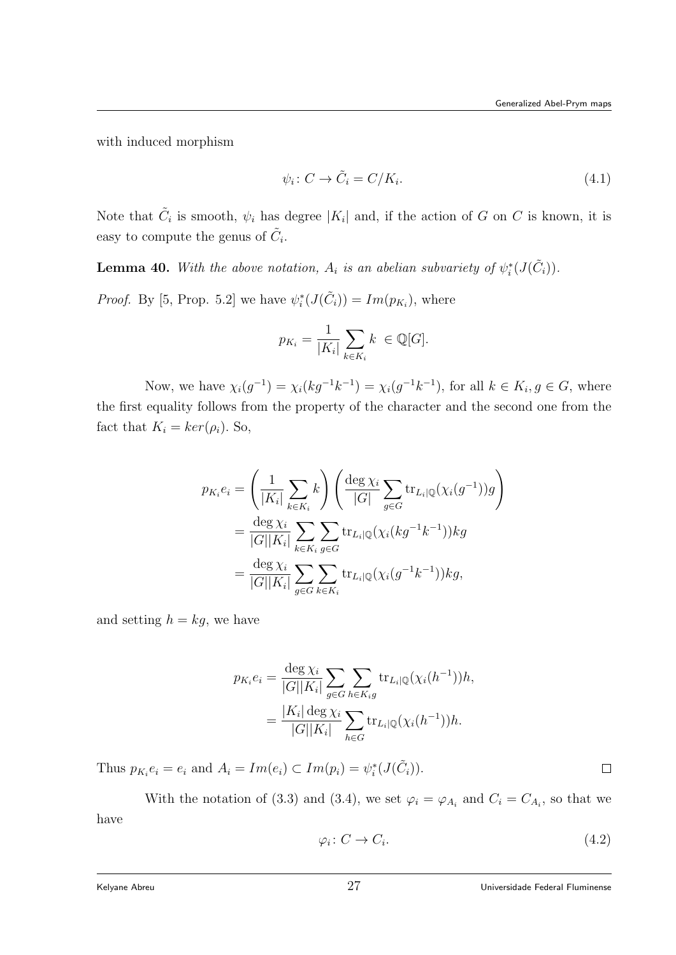with induced morphism

$$
\psi_i \colon C \to \tilde{C}_i = C/K_i. \tag{4.1}
$$

Note that  $\tilde{C}_i$  is smooth,  $\psi_i$  has degree  $|K_i|$  and, if the action of G on C is known, it is easy to compute the genus of  $\tilde{C}_i$ .

**Lemma 40.** With the above notation,  $A_i$  is an abelian subvariety of  $\psi_i^*(J(\tilde{C}_i))$ .

*Proof.* By [5, Prop. 5.2] we have  $\psi_i^*(J(\tilde{C}_i)) = Im(p_{K_i})$ , where

$$
p_{K_i} = \frac{1}{|K_i|} \sum_{k \in K_i} k \in \mathbb{Q}[G].
$$

Now, we have  $\chi_i(g^{-1}) = \chi_i(kg^{-1}k^{-1}) = \chi_i(g^{-1}k^{-1})$ , for all  $k \in K_i, g \in G$ , where the first equality follows from the property of the character and the second one from the fact that  $K_i = \ker(\rho_i)$ . So,

$$
p_{K_i}e_i = \left(\frac{1}{|K_i|}\sum_{k \in K_i} k\right) \left(\frac{\deg \chi_i}{|G|}\sum_{g \in G} \text{tr}_{L_i|\mathbb{Q}}(\chi_i(g^{-1}))g\right)
$$
  
= 
$$
\frac{\deg \chi_i}{|G||K_i|}\sum_{k \in K_i}\sum_{g \in G} \text{tr}_{L_i|\mathbb{Q}}(\chi_i(kg^{-1}k^{-1}))kg
$$
  
= 
$$
\frac{\deg \chi_i}{|G||K_i|}\sum_{g \in G}\sum_{k \in K_i} \text{tr}_{L_i|\mathbb{Q}}(\chi_i(g^{-1}k^{-1}))kg,
$$

and setting  $h = kg$ , we have

$$
p_{K_i}e_i = \frac{\deg \chi_i}{|G||K_i|} \sum_{g \in G} \sum_{h \in K_i g} \text{tr}_{L_i|\mathbb{Q}}(\chi_i(h^{-1}))h,
$$
  
= 
$$
\frac{|K_i| \deg \chi_i}{|G||K_i|} \sum_{h \in G} \text{tr}_{L_i|\mathbb{Q}}(\chi_i(h^{-1}))h.
$$

Thus  $p_{K_i}e_i = e_i$  and  $A_i = Im(e_i) \subset Im(p_i) = \psi_i^*(J(\tilde{C}_i)).$ 

With the notation of (3.3) and (3.4), we set  $\varphi_i = \varphi_{A_i}$  and  $C_i = C_{A_i}$ , so that we have

$$
\varphi_i \colon C \to C_i. \tag{4.2}
$$

 $\Box$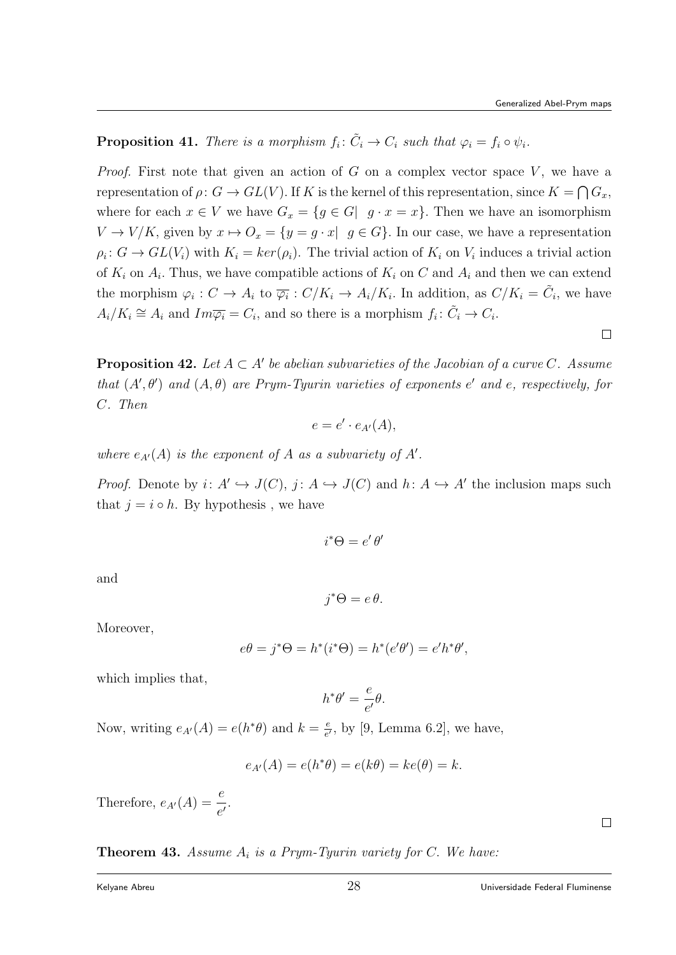$\Box$ 

**Proposition 41.** There is a morphism  $f_i: \tilde{C}_i \to C_i$  such that  $\varphi_i = f_i \circ \psi_i$ .

*Proof.* First note that given an action of  $G$  on a complex vector space  $V$ , we have a representation of  $\rho: G \to GL(V)$ . If K is the kernel of this representation, since  $K = \bigcap G_x$ , where for each  $x \in V$  we have  $G_x = \{g \in G | g \cdot x = x\}$ . Then we have an isomorphism  $V \to V/K$ , given by  $x \mapsto O_x = \{y = g \cdot x \mid g \in G\}$ . In our case, we have a representation  $\rho_i: G \to GL(V_i)$  with  $K_i = ker(\rho_i)$ . The trivial action of  $K_i$  on  $V_i$  induces a trivial action of  $K_i$  on  $A_i$ . Thus, we have compatible actions of  $K_i$  on C and  $A_i$  and then we can extend the morphism  $\varphi_i: C \to A_i$  to  $\overline{\varphi_i}: C/K_i \to A_i/K_i$ . In addition, as  $C/K_i = \tilde{C}_i$ , we have  $A_i/K_i \cong A_i$  and  $Im\overline{\varphi_i} = C_i$ , and so there is a morphism  $f_i: \tilde{C}_i \to C_i$ .

**Proposition 42.** Let  $A \subset A'$  be abelian subvarieties of the Jacobian of a curve C. Assume that  $(A', \theta')$  and  $(A, \theta)$  are Prym-Tyurin varieties of exponents e' and e, respectively, for C. Then

$$
e = e' \cdot e_{A'}(A),
$$

where  $e_{A'}(A)$  is the exponent of A as a subvariety of A'.

*Proof.* Denote by  $i: A' \hookrightarrow J(C)$ ,  $j: A \hookrightarrow J(C)$  and  $h: A \hookrightarrow A'$  the inclusion maps such that  $j = i \circ h$ . By hypothesis, we have

$$
i^*\Theta = e'\,\theta'
$$

and

$$
j^*\Theta = e\,\theta.
$$

Moreover,

$$
e\theta = j^*\Theta = h^*(i^*\Theta) = h^*(e'\theta') = e'h^*\theta',
$$

which implies that,

$$
h^*\theta' = \frac{e}{e'}\theta.
$$

Now, writing  $e_{A}(A) = e(h^*\theta)$  and  $k = \frac{e}{e^{\theta}}$  $\frac{e}{e'}$ , by [9, Lemma 6.2], we have,

$$
e_{A'}(A) = e(h^*\theta) = e(k\theta) = ke(\theta) = k.
$$

Therefore,  $e_{A'}(A) = \frac{e}{e'}$ .

**Theorem 43.** Assume  $A_i$  is a Prym-Tyurin variety for C. We have:

 $\Box$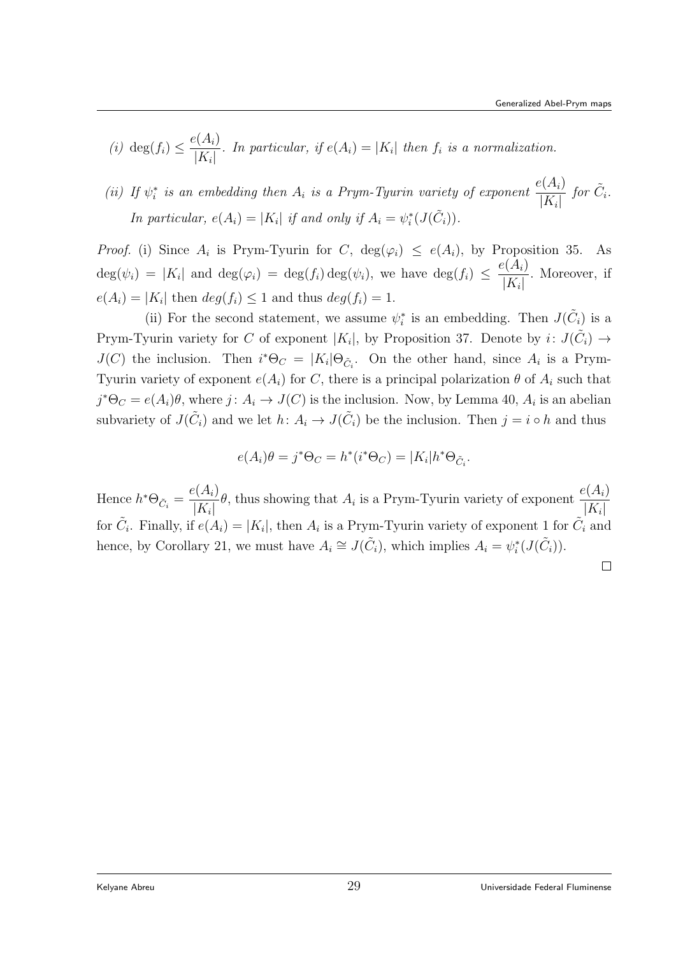- (i) deg $(f_i) \leq \frac{e(A_i)}{K}$  $\frac{K^{(1)}(K_i)}{|K_i|}$ . In particular, if  $e(A_i) = |K_i|$  then  $f_i$  is a normalization.
- (ii) If  $\psi_i^*$  is an embedding then  $A_i$  is a Prym-Tyurin variety of exponent  $\frac{e(A_i)}{|K|}$  $|K_i|$ for  $\tilde{C}_i$ . In particular,  $e(A_i) = |K_i|$  if and only if  $A_i = \psi_i^*(J(\tilde{C}_i)).$

*Proof.* (i) Since  $A_i$  is Prym-Tyurin for C,  $deg(\varphi_i) \leq e(A_i)$ , by Proposition 35. As  $deg(\psi_i) = |K_i|$  and  $deg(\varphi_i) = deg(f_i)deg(\psi_i)$ , we have  $deg(f_i) \leq \frac{e(A_i)}{K}$  $|K_i|$ . Moreover, if  $e(A_i) = |K_i|$  then  $deg(f_i) \leq 1$  and thus  $deg(f_i) = 1$ .

(ii) For the second statement, we assume  $\psi_i^*$  is an embedding. Then  $J(\tilde{C}_i)$  is a Prym-Tyurin variety for C of exponent  $|K_i|$ , by Proposition 37. Denote by  $i: J(\tilde{C}_i) \to$  $J(C)$  the inclusion. Then  $i^*\Theta_C = |K_i|\Theta_{\tilde{C}_i}$ . On the other hand, since  $A_i$  is a Prym-Tyurin variety of exponent  $e(A_i)$  for C, there is a principal polarization  $\theta$  of  $A_i$  such that  $j^* \Theta_C = e(A_i) \theta$ , where  $j: A_i \to J(C)$  is the inclusion. Now, by Lemma 40,  $A_i$  is an abelian subvariety of  $J(\tilde{C}_i)$  and we let  $h: A_i \to J(\tilde{C}_i)$  be the inclusion. Then  $j = i \circ h$  and thus

$$
e(A_i)\theta = j^*\Theta_C = h^*(i^*\Theta_C) = |K_i|h^*\Theta_{\tilde{C}_i}.
$$

Hence  $h^*\Theta_{\tilde{C}_i} =$  $e(A_i)$  $\frac{e(A_i)}{|K_i|}$ , thus showing that  $A_i$  is a Prym-Tyurin variety of exponent  $\frac{e(A_i)}{|K_i|}$  $|K_i|$ for  $\tilde{C}_i$ . Finally, if  $e(A_i) = |K_i|$ , then  $A_i$  is a Prym-Tyurin variety of exponent 1 for  $\tilde{C}_i$  and hence, by Corollary 21, we must have  $A_i \cong J(\tilde{C}_i)$ , which implies  $A_i = \psi_i^*(J(\tilde{C}_i))$ .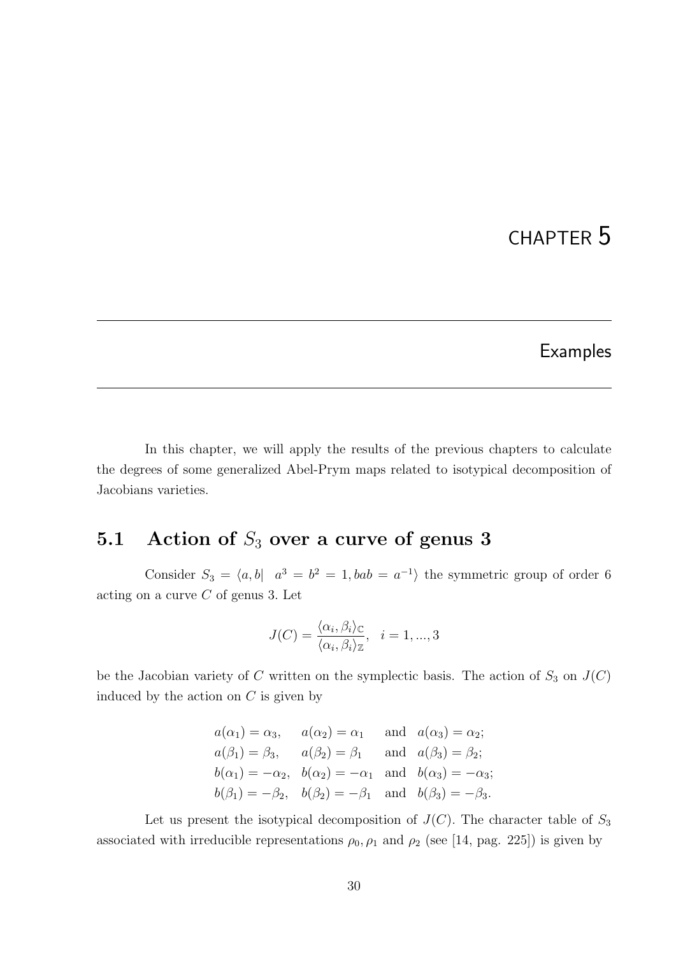# CHAPTER 5

## Examples

In this chapter, we will apply the results of the previous chapters to calculate the degrees of some generalized Abel-Prym maps related to isotypical decomposition of Jacobians varieties.

# 5.1 Action of  $S_3$  over a curve of genus 3

Consider  $S_3 = \langle a, b | a^3 = b^2 = 1, bab = a^{-1} \rangle$  the symmetric group of order 6 acting on a curve  $C$  of genus 3. Let

$$
J(C) = \frac{\langle \alpha_i, \beta_i \rangle_C}{\langle \alpha_i, \beta_i \rangle_{\mathbb{Z}}}, \quad i = 1, ..., 3
$$

be the Jacobian variety of  $C$  written on the symplectic basis. The action of  $S_3$  on  $J(C)$ induced by the action on  $C$  is given by

| $a(\alpha_1) = \alpha_3$ , $a(\alpha_2) = \alpha_1$ and $a(\alpha_3) = \alpha_2$ ;    |  |  |
|---------------------------------------------------------------------------------------|--|--|
| $a(\beta_1) = \beta_3$ , $a(\beta_2) = \beta_1$ and $a(\beta_3) = \beta_2$ ;          |  |  |
| $b(\alpha_1) = -\alpha_2$ , $b(\alpha_2) = -\alpha_1$ and $b(\alpha_3) = -\alpha_3$ ; |  |  |
| $b(\beta_1) = -\beta_2$ , $b(\beta_2) = -\beta_1$ and $b(\beta_3) = -\beta_3$ .       |  |  |

Let us present the isotypical decomposition of  $J(C)$ . The character table of  $S_3$ associated with irreducible representations  $\rho_0$ ,  $\rho_1$  and  $\rho_2$  (see [14, pag. 225]) is given by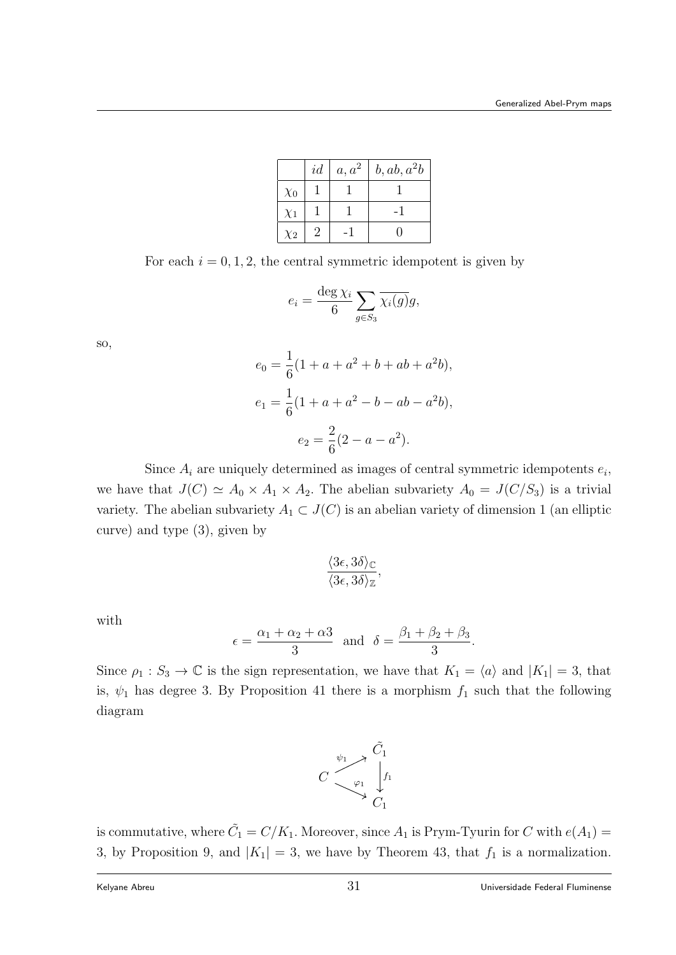|          | id | $a, a^2$ | b, ab, a <sup>2</sup> b |
|----------|----|----------|-------------------------|
| $\chi_0$ |    |          |                         |
| $\chi_1$ |    |          |                         |
| $\chi_2$ |    |          |                         |

For each  $i = 0, 1, 2$ , the central symmetric idempotent is given by

$$
e_i = \frac{\deg \chi_i}{6} \sum_{g \in S_3} \overline{\chi_i(g)} g,
$$

so,

$$
e_0 = \frac{1}{6}(1 + a + a^2 + b + ab + a^2b),
$$
  
\n
$$
e_1 = \frac{1}{6}(1 + a + a^2 - b - ab - a^2b),
$$
  
\n
$$
e_2 = \frac{2}{6}(2 - a - a^2).
$$

Since  $A_i$  are uniquely determined as images of central symmetric idempotents  $e_i$ , we have that  $J(C) \simeq A_0 \times A_1 \times A_2$ . The abelian subvariety  $A_0 = J(C/S_3)$  is a trivial variety. The abelian subvariety  $A_1 \subset J(C)$  is an abelian variety of dimension 1 (an elliptic curve) and type (3), given by

$$
\frac{\langle 3\epsilon, 3\delta \rangle_{\mathbb{C}}}{\langle 3\epsilon, 3\delta \rangle_{\mathbb{Z}}},
$$

with

$$
\epsilon = \frac{\alpha_1 + \alpha_2 + \alpha_3}{3}
$$
 and  $\delta = \frac{\beta_1 + \beta_2 + \beta_3}{3}$ .

Since  $\rho_1 : S_3 \to \mathbb{C}$  is the sign representation, we have that  $K_1 = \langle a \rangle$  and  $|K_1| = 3$ , that is,  $\psi_1$  has degree 3. By Proposition 41 there is a morphism  $f_1$  such that the following diagram



is commutative, where  $\tilde{C}_1 = C/K_1$ . Moreover, since  $A_1$  is Prym-Tyurin for C with  $e(A_1)$  = 3, by Proposition 9, and  $|K_1| = 3$ , we have by Theorem 43, that  $f_1$  is a normalization.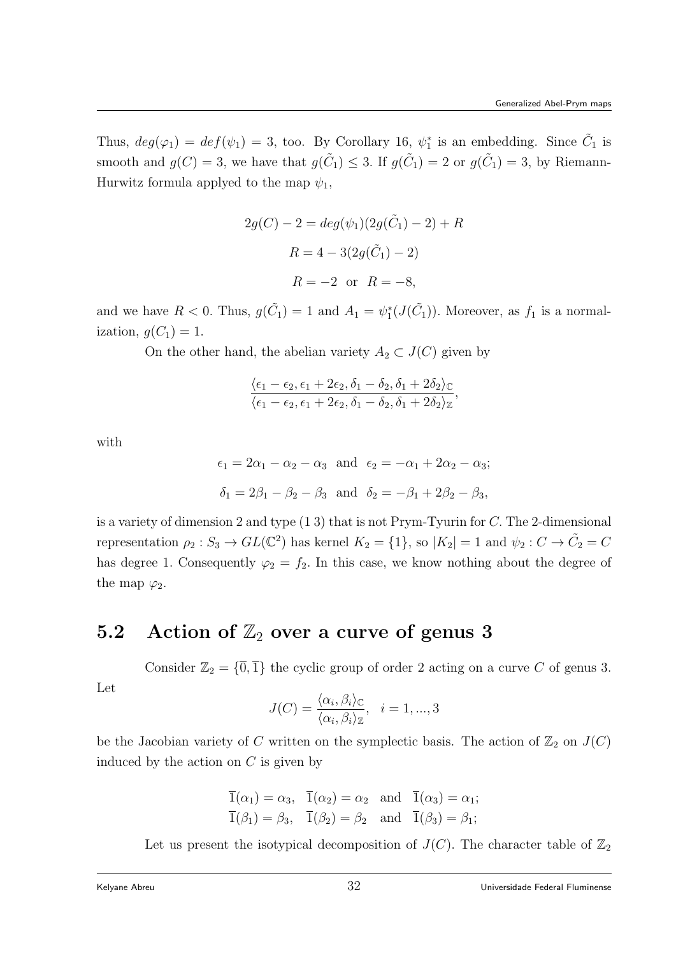Thus,  $deg(\varphi_1) = def(\psi_1) = 3$ , too. By Corollary 16,  $\psi_1^*$  is an embedding. Since  $\tilde{C}_1$  is smooth and  $g(C) = 3$ , we have that  $g(\tilde{C}_1) \leq 3$ . If  $g(\tilde{C}_1) = 2$  or  $g(\tilde{C}_1) = 3$ , by Riemann-Hurwitz formula applyed to the map  $\psi_1$ ,

$$
2g(C) - 2 = deg(\psi_1)(2g(\tilde{C}_1) - 2) + R
$$
  
 
$$
R = 4 - 3(2g(\tilde{C}_1) - 2)
$$
  
 
$$
R = -2 \text{ or } R = -8,
$$

and we have  $R < 0$ . Thus,  $g(\tilde{C}_1) = 1$  and  $A_1 = \psi_1^*(J(\tilde{C}_1))$ . Moreover, as  $f_1$  is a normalization,  $g(C_1) = 1$ .

On the other hand, the abelian variety  $A_2 \subset J(C)$  given by

$$
\frac{\langle \epsilon_1 - \epsilon_2, \epsilon_1 + 2\epsilon_2, \delta_1 - \delta_2, \delta_1 + 2\delta_2 \rangle_{\mathbb{C}}}{\langle \epsilon_1 - \epsilon_2, \epsilon_1 + 2\epsilon_2, \delta_1 - \delta_2, \delta_1 + 2\delta_2 \rangle_{\mathbb{Z}}},
$$

with

$$
\epsilon_1 = 2\alpha_1 - \alpha_2 - \alpha_3
$$
 and  $\epsilon_2 = -\alpha_1 + 2\alpha_2 - \alpha_3$ ;  
\n $\delta_1 = 2\beta_1 - \beta_2 - \beta_3$  and  $\delta_2 = -\beta_1 + 2\beta_2 - \beta_3$ ,

is a variety of dimension 2 and type (1 3) that is not Prym-Tyurin for C. The 2-dimensional representation  $\rho_2: S_3 \to GL(\mathbb{C}^2)$  has kernel  $K_2 = \{1\}$ , so  $|K_2| = 1$  and  $\psi_2: C \to \tilde{C}_2 = C$ has degree 1. Consequently  $\varphi_2 = f_2$ . In this case, we know nothing about the degree of the map  $\varphi_2$ .

# 5.2 Action of  $\mathbb{Z}_2$  over a curve of genus 3

Consider  $\mathbb{Z}_2 = {\overline{0}, \overline{1}}$  the cyclic group of order 2 acting on a curve C of genus 3.

$$
\rm Let
$$

$$
J(C) = \frac{\langle \alpha_i, \beta_i \rangle_{\mathbb{C}}}{\langle \alpha_i, \beta_i \rangle_{\mathbb{Z}}}, \quad i = 1, ..., 3
$$

be the Jacobian variety of C written on the symplectic basis. The action of  $\mathbb{Z}_2$  on  $J(C)$ induced by the action on  $C$  is given by

$$
\overline{1}(\alpha_1) = \alpha_3
$$
,  $\overline{1}(\alpha_2) = \alpha_2$  and  $\overline{1}(\alpha_3) = \alpha_1$ ;  
\n $\overline{1}(\beta_1) = \beta_3$ ,  $\overline{1}(\beta_2) = \beta_2$  and  $\overline{1}(\beta_3) = \beta_1$ ;

Let us present the isotypical decomposition of  $J(C)$ . The character table of  $\mathbb{Z}_2$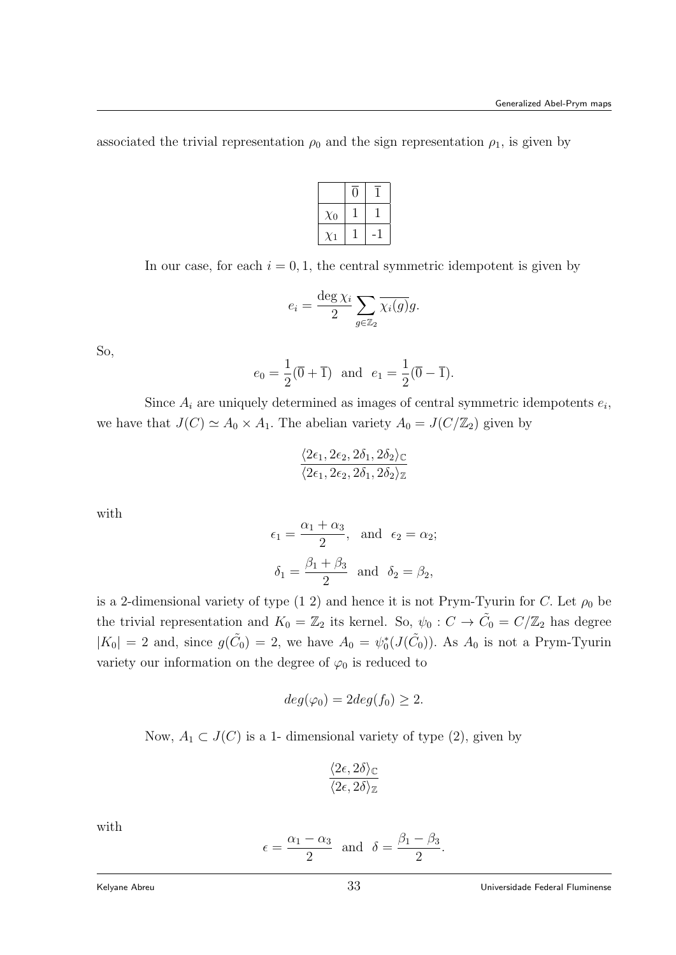associated the trivial representation  $\rho_0$  and the sign representation  $\rho_1$ , is given by

| $\chi_0$ |  |
|----------|--|
|          |  |

In our case, for each  $i = 0, 1$ , the central symmetric idempotent is given by

$$
e_i = \frac{\deg \chi_i}{2} \sum_{g \in \mathbb{Z}_2} \overline{\chi_i(g)} g.
$$

So,

$$
e_0 = \frac{1}{2}(\overline{0} + \overline{1})
$$
 and  $e_1 = \frac{1}{2}(\overline{0} - \overline{1}).$ 

Since  $A_i$  are uniquely determined as images of central symmetric idempotents  $e_i$ , we have that  $J(C) \simeq A_0 \times A_1$ . The abelian variety  $A_0 = J(C/\mathbb{Z}_2)$  given by

$$
\frac{\langle 2\epsilon_1, 2\epsilon_2, 2\delta_1, 2\delta_2 \rangle_{\mathbb{C}}}{\langle 2\epsilon_1, 2\epsilon_2, 2\delta_1, 2\delta_2 \rangle_{\mathbb{Z}}}
$$

with

$$
\epsilon_1 = \frac{\alpha_1 + \alpha_3}{2}
$$
, and  $\epsilon_2 = \alpha_2$ ;  
\n $\delta_1 = \frac{\beta_1 + \beta_3}{2}$  and  $\delta_2 = \beta_2$ ,

is a 2-dimensional variety of type (1 2) and hence it is not Prym-Tyurin for C. Let  $\rho_0$  be the trivial representation and  $K_0 = \mathbb{Z}_2$  its kernel. So,  $\psi_0 : C \to \tilde{C}_0 = C/\mathbb{Z}_2$  has degree  $|K_0| = 2$  and, since  $g(\tilde{C}_0) = 2$ , we have  $A_0 = \psi_0^*(J(\tilde{C}_0))$ . As  $A_0$  is not a Prym-Tyurin variety our information on the degree of  $\varphi_0$  is reduced to

$$
deg(\varphi_0) = 2deg(f_0) \ge 2.
$$

Now,  $A_1 \subset J(C)$  is a 1- dimensional variety of type (2), given by

$$
\frac{\langle 2\epsilon, 2\delta \rangle_{\mathbb{C}}}{\langle 2\epsilon, 2\delta \rangle_{\mathbb{Z}}}
$$

with

$$
\epsilon = \frac{\alpha_1 - \alpha_3}{2}
$$
 and  $\delta = \frac{\beta_1 - \beta_3}{2}$ .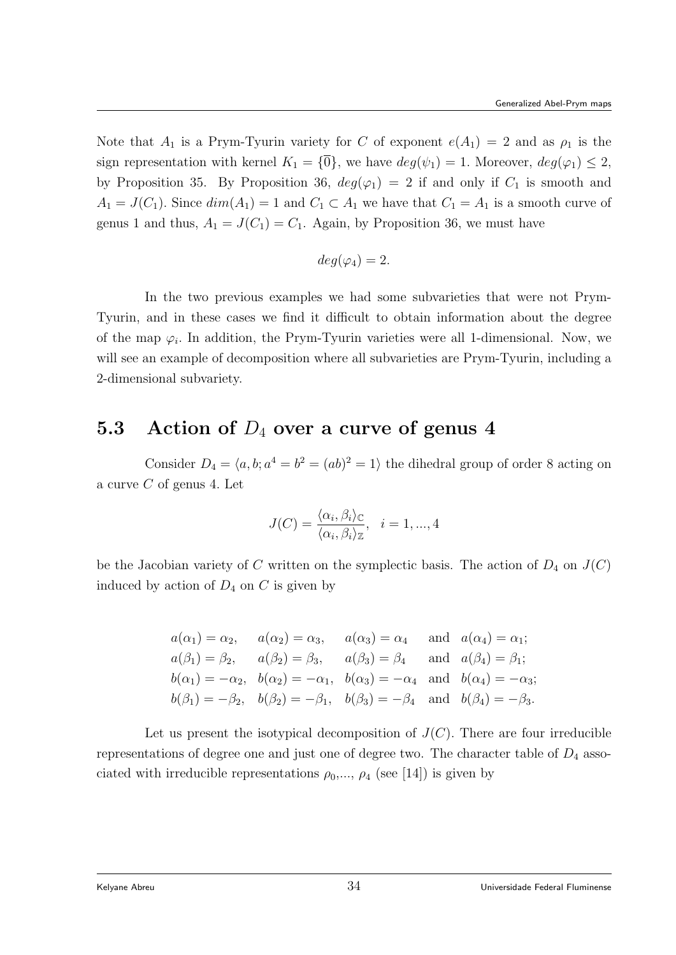Note that  $A_1$  is a Prym-Tyurin variety for C of exponent  $e(A_1) = 2$  and as  $\rho_1$  is the sign representation with kernel  $K_1 = {\overline{0}}$ , we have  $deg(\psi_1) = 1$ . Moreover,  $deg(\varphi_1) \leq 2$ , by Proposition 35. By Proposition 36,  $deg(\varphi_1) = 2$  if and only if  $C_1$  is smooth and  $A_1 = J(C_1)$ . Since  $dim(A_1) = 1$  and  $C_1 \subset A_1$  we have that  $C_1 = A_1$  is a smooth curve of genus 1 and thus,  $A_1 = J(C_1) = C_1$ . Again, by Proposition 36, we must have

$$
deg(\varphi_4)=2.
$$

In the two previous examples we had some subvarieties that were not Prym-Tyurin, and in these cases we find it difficult to obtain information about the degree of the map  $\varphi_i$ . In addition, the Prym-Tyurin varieties were all 1-dimensional. Now, we will see an example of decomposition where all subvarieties are Prym-Tyurin, including a 2-dimensional subvariety.

# 5.3 Action of  $D_4$  over a curve of genus 4

Consider  $D_4 = \langle a, b; a^4 = b^2 = (ab)^2 = 1 \rangle$  the dihedral group of order 8 acting on a curve  $C$  of genus 4. Let

$$
J(C) = \frac{\langle \alpha_i, \beta_i \rangle_C}{\langle \alpha_i, \beta_i \rangle_{\mathbb{Z}}}, \quad i = 1, ..., 4
$$

be the Jacobian variety of C written on the symplectic basis. The action of  $D_4$  on  $J(C)$ induced by action of  $D_4$  on  $C$  is given by

$$
a(\alpha_1) = \alpha_2, \quad a(\alpha_2) = \alpha_3, \quad a(\alpha_3) = \alpha_4 \quad \text{and} \quad a(\alpha_4) = \alpha_1;
$$
  
\n
$$
a(\beta_1) = \beta_2, \quad a(\beta_2) = \beta_3, \quad a(\beta_3) = \beta_4 \quad \text{and} \quad a(\beta_4) = \beta_1;
$$
  
\n
$$
b(\alpha_1) = -\alpha_2, \quad b(\alpha_2) = -\alpha_1, \quad b(\alpha_3) = -\alpha_4 \quad \text{and} \quad b(\alpha_4) = -\alpha_3;
$$
  
\n
$$
b(\beta_1) = -\beta_2, \quad b(\beta_2) = -\beta_1, \quad b(\beta_3) = -\beta_4 \quad \text{and} \quad b(\beta_4) = -\beta_3.
$$

Let us present the isotypical decomposition of  $J(C)$ . There are four irreducible representations of degree one and just one of degree two. The character table of  $D_4$  associated with irreducible representations  $\rho_0, \ldots, \rho_4$  (see [14]) is given by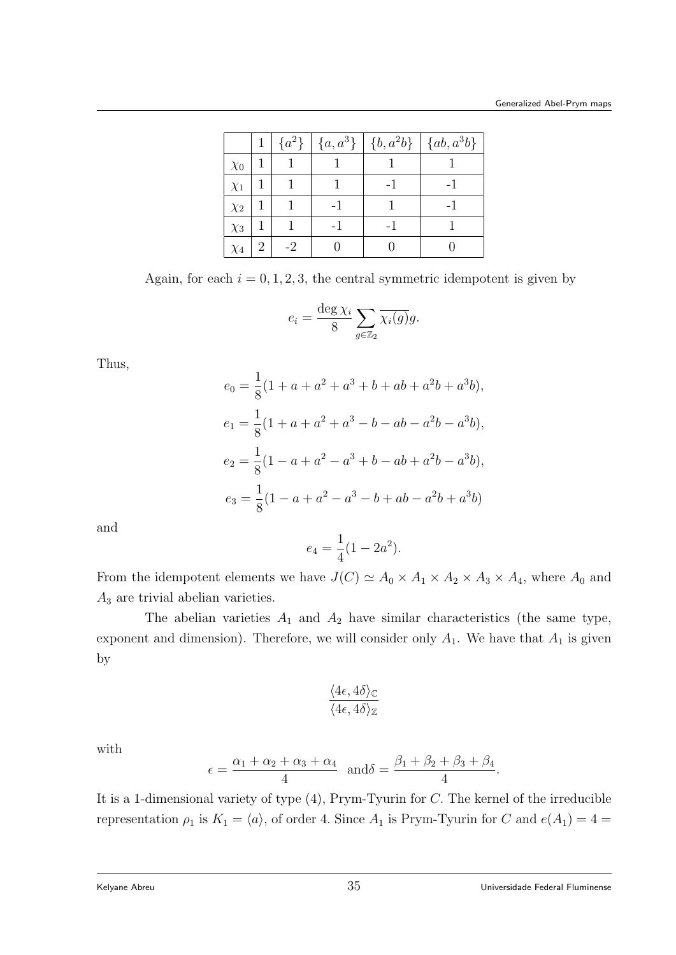|          |   | $\{a^2\}$ |  | $\left[ \{a, a^{3}\}\right] \left[ \{b, a^{2}b\}\right] \left[ \{ab, a^{3}b\}\right]$ |
|----------|---|-----------|--|---------------------------------------------------------------------------------------|
| $\chi_0$ |   |           |  |                                                                                       |
| $\chi_1$ |   |           |  |                                                                                       |
| $\chi_2$ |   |           |  | - 1                                                                                   |
| $\chi_3$ |   |           |  |                                                                                       |
| $\chi_4$ | 2 | $-2$      |  |                                                                                       |

Again, for each  $i = 0, 1, 2, 3$ , the central symmetric idempotent is given by

$$
e_i = \frac{\deg \chi_i}{8} \sum_{g \in \mathbb{Z}_2} \overline{\chi_i(g)} g.
$$

Thus,

$$
e_0 = \frac{1}{8}(1 + a + a^2 + a^3 + b + ab + a^2b + a^3b),
$$
  
\n
$$
e_1 = \frac{1}{8}(1 + a + a^2 + a^3 - b - ab - a^2b - a^3b),
$$
  
\n
$$
e_2 = \frac{1}{8}(1 - a + a^2 - a^3 + b - ab + a^2b - a^3b),
$$
  
\n
$$
e_3 = \frac{1}{8}(1 - a + a^2 - a^3 - b + ab - a^2b + a^3b)
$$

and

$$
e_4 = \frac{1}{4}(1 - 2a^2).
$$

From the idempotent elements we have  $J(C) \simeq A_0 \times A_1 \times A_2 \times A_3 \times A_4$ , where  $A_0$  and  $A_3$  are trivial abelian varieties.

The abelian varieties  $A_1$  and  $A_2$  have similar characteristics (the same type, exponent and dimension). Therefore, we will consider only  $A_1$ . We have that  $A_1$  is given by

$$
\frac{\langle 4\epsilon, 4\delta \rangle_{\mathbb{C}}}{\langle 4\epsilon, 4\delta \rangle_{\mathbb{Z}}}
$$

with

$$
\epsilon = \frac{\alpha_1 + \alpha_2 + \alpha_3 + \alpha_4}{4} \quad \text{and} \quad \delta = \frac{\beta_1 + \beta_2 + \beta_3 + \beta_4}{4}.
$$

It is a 1-dimensional variety of type (4), Prym-Tyurin for C. The kernel of the irreducible representation  $\rho_1$  is  $K_1 = \langle a \rangle$ , of order 4. Since  $A_1$  is Prym-Tyurin for C and  $e(A_1) = 4 =$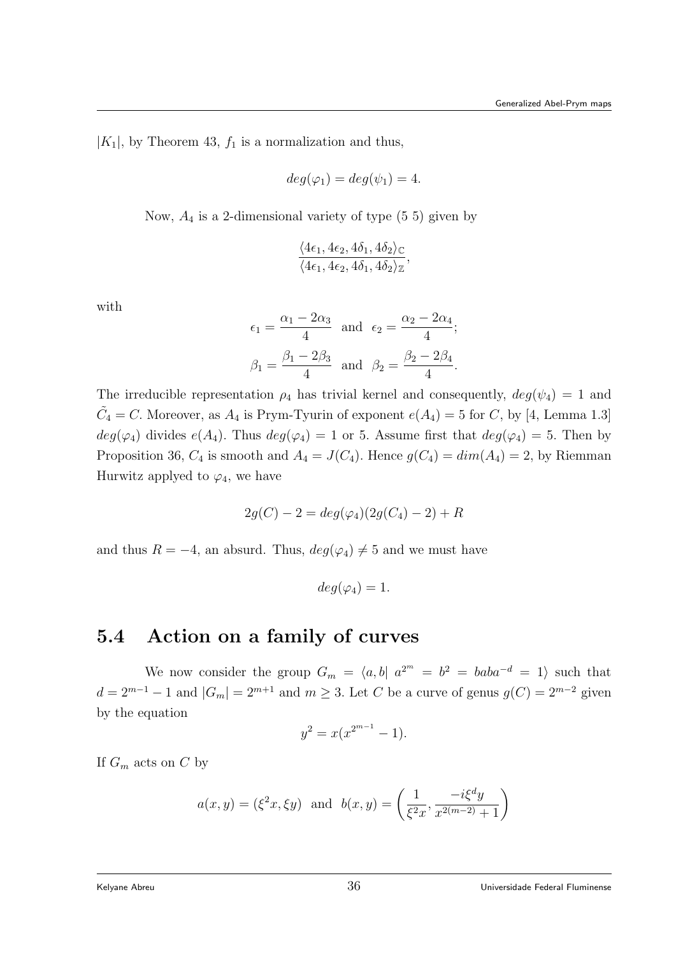$|K_1|$ , by Theorem 43,  $f_1$  is a normalization and thus,

$$
deg(\varphi_1) = deg(\psi_1) = 4.
$$

Now,  $A_4$  is a 2-dimensional variety of type  $(5\ 5)$  given by

$$
\frac{\langle 4\epsilon_1, 4\epsilon_2, 4\delta_1, 4\delta_2 \rangle_{\mathbb{C}}}{\langle 4\epsilon_1, 4\epsilon_2, 4\delta_1, 4\delta_2 \rangle_{\mathbb{Z}}},
$$

with

$$
\epsilon_1 = \frac{\alpha_1 - 2\alpha_3}{4} \text{ and } \epsilon_2 = \frac{\alpha_2 - 2\alpha_4}{4};
$$
  

$$
\beta_1 = \frac{\beta_1 - 2\beta_3}{4} \text{ and } \beta_2 = \frac{\beta_2 - 2\beta_4}{4}.
$$

The irreducible representation  $\rho_4$  has trivial kernel and consequently,  $deg(\psi_4) = 1$  and  $\tilde{C}_4 = C$ . Moreover, as  $A_4$  is Prym-Tyurin of exponent  $e(A_4) = 5$  for C, by [4, Lemma 1.3]  $deg(\varphi_4)$  divides  $e(A_4)$ . Thus  $deg(\varphi_4) = 1$  or 5. Assume first that  $deg(\varphi_4) = 5$ . Then by Proposition 36,  $C_4$  is smooth and  $A_4 = J(C_4)$ . Hence  $g(C_4) = dim(A_4) = 2$ , by Riemman Hurwitz applyed to  $\varphi_4$ , we have

$$
2g(C) - 2 = deg(\varphi_4)(2g(C_4) - 2) + R
$$

and thus  $R = -4$ , an absurd. Thus,  $deg(\varphi_4) \neq 5$  and we must have

$$
deg(\varphi_4)=1.
$$

#### 5.4 Action on a family of curves

We now consider the group  $G_m = \langle a, b | a^{2^m} = b^2 = bab a^{-d} = 1 \rangle$  such that  $d = 2^{m-1} - 1$  and  $|G_m| = 2^{m+1}$  and  $m \ge 3$ . Let C be a curve of genus  $g(C) = 2^{m-2}$  given by the equation

$$
y^2 = x(x^{2^{m-1}} - 1).
$$

If  $G_m$  acts on C by

$$
a(x, y) = (\xi^2 x, \xi y)
$$
 and  $b(x, y) = \left(\frac{1}{\xi^2 x}, \frac{-i \xi^d y}{x^{2(m-2)} + 1}\right)$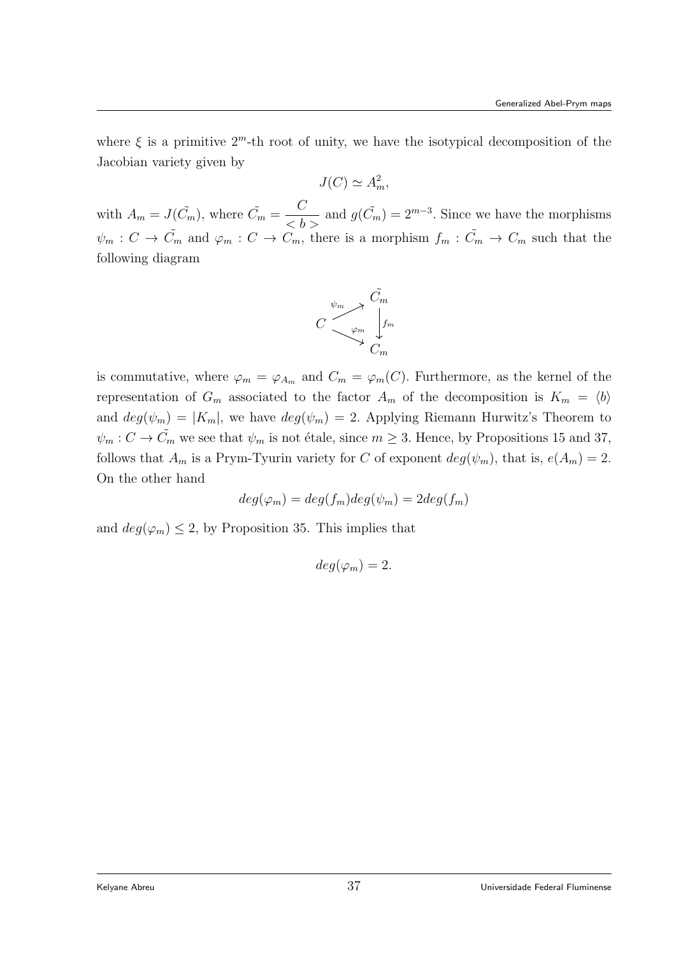where  $\xi$  is a primitive  $2^m$ -th root of unity, we have the isotypical decomposition of the Jacobian variety given by

$$
J(C) \simeq A_m^2,
$$

with  $A_m = J(\tilde{C}_m)$ , where  $\tilde{C}_m = \frac{C}{\langle b \rangle}$  and  $g(\tilde{C}_m) = 2^{m-3}$ . Since we have the morphisms  $\psi_m : C \to \tilde{C}_m$  and  $\varphi_m : C \to \tilde{C}_m$ , there is a morphism  $f_m : \tilde{C}_m \to \tilde{C}_m$  such that the following diagram



is commutative, where  $\varphi_m = \varphi_{A_m}$  and  $C_m = \varphi_m(C)$ . Furthermore, as the kernel of the representation of  $G_m$  associated to the factor  $A_m$  of the decomposition is  $K_m = \langle b \rangle$ and  $deg(\psi_m) = |K_m|$ , we have  $deg(\psi_m) = 2$ . Applying Riemann Hurwitz's Theorem to  $\psi_m : C \to \tilde{C}_m$  we see that  $\psi_m$  is not étale, since  $m \geq 3$ . Hence, by Propositions 15 and 37, follows that  $A_m$  is a Prym-Tyurin variety for C of exponent  $deg(\psi_m)$ , that is,  $e(A_m) = 2$ . On the other hand

$$
deg(\varphi_m) = deg(f_m)deg(\psi_m) = 2deg(f_m)
$$

and  $deg(\varphi_m) \leq 2$ , by Proposition 35. This implies that

$$
deg(\varphi_m)=2.
$$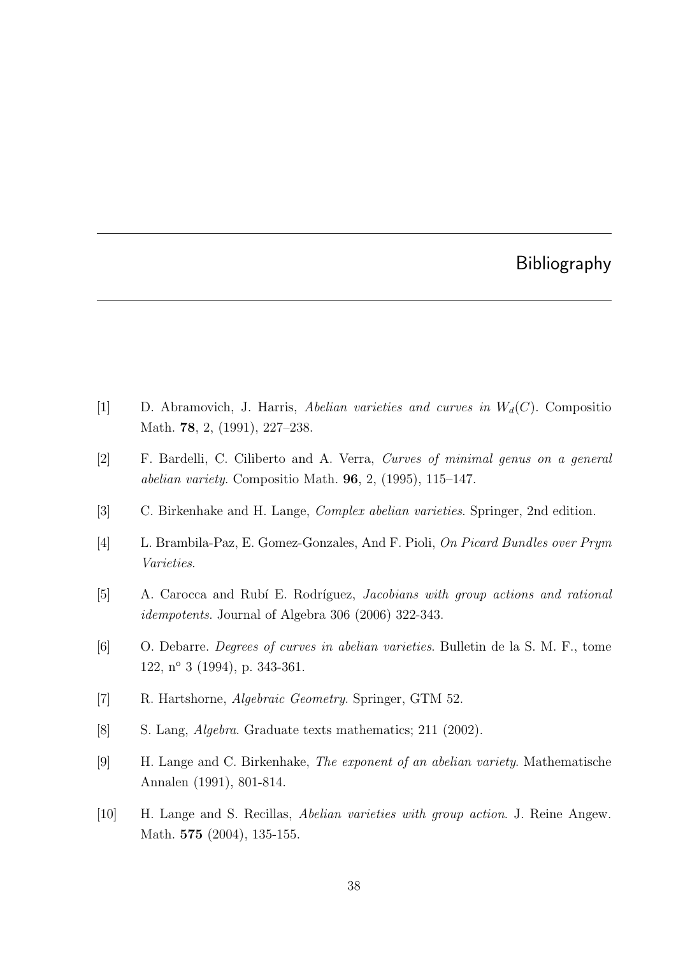## Bibliography

- [1] D. Abramovich, J. Harris, Abelian varieties and curves in  $W_d(C)$ . Compositio Math. 78, 2, (1991), 227–238.
- [2] F. Bardelli, C. Ciliberto and A. Verra, Curves of minimal genus on a general abelian variety. Compositio Math. 96, 2, (1995), 115–147.
- [3] C. Birkenhake and H. Lange, Complex abelian varieties. Springer, 2nd edition.
- [4] L. Brambila-Paz, E. Gomez-Gonzales, And F. Pioli, On Picard Bundles over Prym Varieties.
- [5] A. Carocca and Rubí E. Rodríguez, *Jacobians with group actions and rational* idempotents. Journal of Algebra 306 (2006) 322-343.
- [6] O. Debarre. Degrees of curves in abelian varieties. Bulletin de la S. M. F., tome 122, n<sup>o</sup> 3 (1994), p. 343-361.
- [7] R. Hartshorne, Algebraic Geometry. Springer, GTM 52.
- [8] S. Lang, Algebra. Graduate texts mathematics; 211 (2002).
- [9] H. Lange and C. Birkenhake, The exponent of an abelian variety. Mathematische Annalen (1991), 801-814.
- [10] H. Lange and S. Recillas, Abelian varieties with group action. J. Reine Angew. Math. **575** (2004), 135-155.